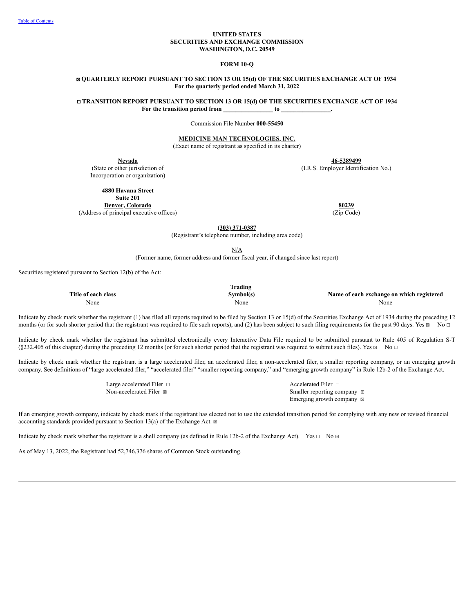### **UNITED STATES SECURITIES AND EXCHANGE COMMISSION WASHINGTON, D.C. 20549**

### **FORM 10-Q**

### ☒ **QUARTERLY REPORT PURSUANT TO SECTION 13 OR 15(d) OF THE SECURITIES EXCHANGE ACT OF 1934 For the quarterly period ended March 31, 2022**

☐ **TRANSITION REPORT PURSUANT TO SECTION 13 OR 15(d) OF THE SECURITIES EXCHANGE ACT OF 1934 For the transition period from \_\_\_\_\_\_\_\_\_\_\_\_\_\_\_\_ to \_\_\_\_\_\_\_\_\_\_\_\_\_\_\_\_.**

Commission File Number **000-55450**

**MEDICINE MAN TECHNOLOGIES, INC.**

(Exact name of registrant as specified in its charter)

(State or other jurisdiction of Incorporation or organization)

**Nevada 46-5289499**

(I.R.S. Employer Identification No.)

**4880 Havana Street**

**Suite 201**

**Denver, Colorado 80239**<br> **80239**<br> **80239 80239 80239 80239 80239 80239 80239 80239 80239 80239 80239 80239 80239 80239 80239 80239 80239 80239 80239 80239 80239 80239 80239** (Address of principal executive offices)

**(303) 371-0387**

(Registrant's telephone number, including area code)

N/A

(Former name, former address and former fiscal year, if changed since last report)

Securities registered pursuant to Section 12(b) of the Act:

|                                      | --<br>rading |                                                  |
|--------------------------------------|--------------|--------------------------------------------------|
| <b>Title</b><br>each<br>class<br>. വ | svmbol(s'    | vexchange on which registered<br>Name of<br>each |
| None                                 | None         | None                                             |

Indicate by check mark whether the registrant (1) has filed all reports required to be filed by Section 13 or 15(d) of the Securities Exchange Act of 1934 during the preceding 12 months (or for such shorter period that the registrant was required to file such reports), and (2) has been subject to such filing requirements for the past 90 days. Yes  $\boxtimes$  No  $\Box$ 

Indicate by check mark whether the registrant has submitted electronically every Interactive Data File required to be submitted pursuant to Rule 405 of Regulation S-T  $(\$232.405$  of this chapter) during the preceding 12 months (or for such shorter period that the registrant was required to submit such files). Yes  $\boxtimes$  No  $\Box$ 

Indicate by check mark whether the registrant is a large accelerated filer, an accelerated filer, a non-accelerated filer, a smaller reporting company, or an emerging growth company. See definitions of "large accelerated filer," "accelerated filer" "smaller reporting company," and "emerging growth company" in Rule 12b-2 of the Exchange Act.

| Large accelerated Filer $\Box$ | Accelerated Filer $\Box$              |
|--------------------------------|---------------------------------------|
| Non-accelerated Filer ⊠        | Smaller reporting company $\boxtimes$ |
|                                | Emerging growth company $\boxtimes$   |

If an emerging growth company, indicate by check mark if the registrant has elected not to use the extended transition period for complying with any new or revised financial accounting standards provided pursuant to Section 13(a) of the Exchange Act.  $\boxtimes$ 

Indicate by check mark whether the registrant is a shell company (as defined in Rule 12b-2 of the Exchange Act). Yes  $\Box$  No  $\Box$ 

As of May 13, 2022, the Registrant had 52,746,376 shares of Common Stock outstanding.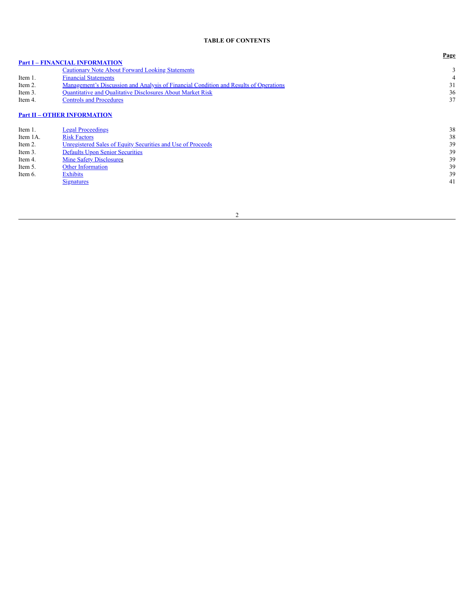# **TABLE OF CONTENTS**

<span id="page-1-0"></span>

|          |                                                                                       | Page |
|----------|---------------------------------------------------------------------------------------|------|
|          | <b>Part I - FINANCIAL INFORMATION</b>                                                 |      |
|          | <b>Cautionary Note About Forward Looking Statements</b>                               | 3    |
| Item 1.  | <b>Financial Statements</b>                                                           | 4    |
| Item 2.  | Management's Discussion and Analysis of Financial Condition and Results of Operations | 31   |
| Item 3.  | <b>Quantitative and Qualitative Disclosures About Market Risk</b>                     | 36   |
| Item 4.  | <b>Controls and Procedures</b>                                                        | 37   |
|          | <b>Part II - OTHER INFORMATION</b>                                                    |      |
| Item 1.  | <b>Legal Proceedings</b>                                                              | 38   |
| Item 1A. | <b>Risk Factors</b>                                                                   | 38   |
| Item 2.  | Unregistered Sales of Equity Securities and Use of Proceeds                           | 39   |
| Item 3.  | <b>Defaults Upon Senior Securities</b>                                                | 39   |
| Item 4.  | <b>Mine Safety Disclosures</b>                                                        | 39   |
| Item 5.  | Other Information                                                                     | 39   |
| Item 6.  | <b>Exhibits</b>                                                                       | 39   |
|          | Signatures                                                                            | 41   |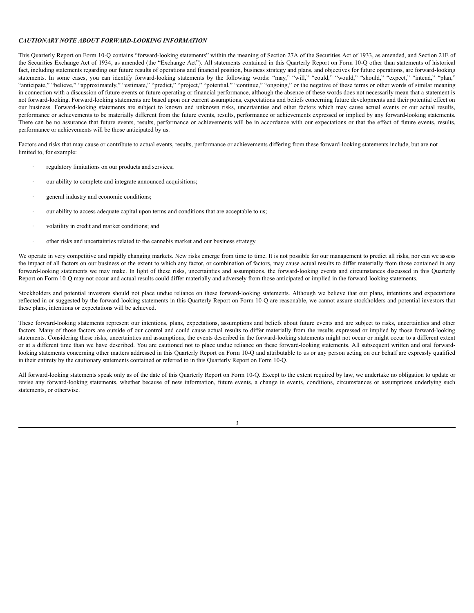### <span id="page-2-0"></span>*CAUTIONARY NOTE ABOUT FORWARD-LOOKING INFORMATION*

This Quarterly Report on Form 10-Q contains "forward-looking statements" within the meaning of Section 27A of the Securities Act of 1933, as amended, and Section 21E of the Securities Exchange Act of 1934, as amended (the "Exchange Act"). All statements contained in this Quarterly Report on Form 10-Q other than statements of historical fact, including statements regarding our future results of operations and financial position, business strategy and plans, and objectives for future operations, are forward-looking statements. In some cases, you can identify forward-looking statements by the following words: "may," "will," "could," "would," "should," "expect," "intend," "plan," "anticipate," "believe," "approximately," "estimate," "predict," "project," "potential," "continue," "ongoing," or the negative of these terms or other words of similar meaning in connection with a discussion of future events or future operating or financial performance, although the absence of these words does not necessarily mean that a statement is not forward-looking. Forward-looking statements are based upon our current assumptions, expectations and beliefs concerning future developments and their potential effect on our business. Forward-looking statements are subject to known and unknown risks, uncertainties and other factors which may cause actual events or our actual results, performance or achievements to be materially different from the future events, results, performance or achievements expressed or implied by any forward-looking statements. There can be no assurance that future events, results, performance or achievements will be in accordance with our expectations or that the effect of future events, results, performance or achievements will be those anticipated by us.

Factors and risks that may cause or contribute to actual events, results, performance or achievements differing from these forward-looking statements include, but are not limited to, for example:

- regulatory limitations on our products and services;
- our ability to complete and integrate announced acquisitions;
- general industry and economic conditions;
- our ability to access adequate capital upon terms and conditions that are acceptable to us;
- volatility in credit and market conditions; and
- · other risks and uncertainties related to the cannabis market and our business strategy.

We operate in very competitive and rapidly changing markets. New risks emerge from time to time. It is not possible for our management to predict all risks, nor can we assess the impact of all factors on our business or the extent to which any factor, or combination of factors, may cause actual results to differ materially from those contained in any forward-looking statements we may make. In light of these risks, uncertainties and assumptions, the forward-looking events and circumstances discussed in this Quarterly Report on Form 10-Q may not occur and actual results could differ materially and adversely from those anticipated or implied in the forward-looking statements.

Stockholders and potential investors should not place undue reliance on these forward-looking statements. Although we believe that our plans, intentions and expectations reflected in or suggested by the forward-looking statements in this Quarterly Report on Form 10-Q are reasonable, we cannot assure stockholders and potential investors that these plans, intentions or expectations will be achieved.

These forward-looking statements represent our intentions, plans, expectations, assumptions and beliefs about future events and are subject to risks, uncertainties and other factors. Many of those factors are outside of our control and could cause actual results to differ materially from the results expressed or implied by those forward-looking statements. Considering these risks, uncertainties and assumptions, the events described in the forward-looking statements might not occur or might occur to a different extent or at a different time than we have described. You are cautioned not to place undue reliance on these forward-looking statements. All subsequent written and oral forwardlooking statements concerning other matters addressed in this Quarterly Report on Form 10-Q and attributable to us or any person acting on our behalf are expressly qualified in their entirety by the cautionary statements contained or referred to in this Quarterly Report on Form 10-Q.

All forward-looking statements speak only as of the date of this Quarterly Report on Form 10-Q. Except to the extent required by law, we undertake no obligation to update or revise any forward-looking statements, whether because of new information, future events, a change in events, conditions, circumstances or assumptions underlying such statements, or otherwise.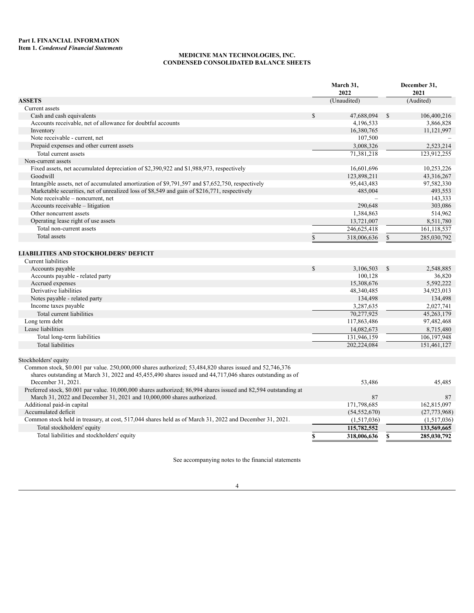# **MEDICINE MAN TECHNOLOGIES, INC. CONDENSED CONSOLIDATED BALANCE SHEETS**

<span id="page-3-1"></span><span id="page-3-0"></span>

|                                                                                                                                 |             | March 31,<br>2022 |               | December 31,<br>2021 |
|---------------------------------------------------------------------------------------------------------------------------------|-------------|-------------------|---------------|----------------------|
| <b>ASSETS</b>                                                                                                                   |             | (Unaudited)       |               | (Audited)            |
| Current assets                                                                                                                  |             |                   |               |                      |
| Cash and cash equivalents                                                                                                       | \$          | 47,688,094        | \$            | 106,400,216          |
| Accounts receivable, net of allowance for doubtful accounts                                                                     |             | 4,196,533         |               | 3,866,828            |
| Inventory                                                                                                                       |             | 16,380,765        |               | 11,121,997           |
| Note receivable - current, net                                                                                                  |             | 107,500           |               |                      |
| Prepaid expenses and other current assets                                                                                       |             | 3,008,326         |               | 2,523,214            |
| Total current assets                                                                                                            |             | 71,381,218        |               | 123,912,255          |
| Non-current assets                                                                                                              |             |                   |               |                      |
| Fixed assets, net accumulated depreciation of \$2,390,922 and \$1,988,973, respectively                                         |             | 16,601,696        |               | 10,253,226           |
| Goodwill                                                                                                                        |             | 123,898,211       |               | 43,316,267           |
| Intangible assets, net of accumulated amortization of \$9,791,597 and \$7,652,750, respectively                                 |             | 95,443,483        |               | 97,582,330           |
| Marketable securities, net of unrealized loss of \$8,549 and gain of \$216,771, respectively                                    |             | 485,004           |               | 493,553              |
| Note receivable – noncurrent, net                                                                                               |             |                   |               | 143,333              |
| Accounts receivable – litigation                                                                                                |             | 290,648           |               | 303,086              |
| Other noncurrent assets                                                                                                         |             | 1,384,863         |               | 514,962              |
| Operating lease right of use assets                                                                                             |             | 13,721,007        |               | 8,511,780            |
| Total non-current assets                                                                                                        |             | 246,625,418       |               | 161,118,537          |
| Total assets                                                                                                                    | \$          | 318,006,636       | $\mathbb{S}$  | 285,030,792          |
| <b>LIABILITIES AND STOCKHOLDERS' DEFICIT</b>                                                                                    |             |                   |               |                      |
|                                                                                                                                 |             |                   |               |                      |
| Current liabilities                                                                                                             |             |                   |               |                      |
| Accounts payable                                                                                                                | $\mathbf S$ | 3,106,503         | $\mathcal{S}$ | 2,548,885            |
| Accounts payable - related party                                                                                                |             | 100,128           |               | 36,820               |
| Accrued expenses                                                                                                                |             | 15,308,676        |               | 5,592,222            |
| Derivative liabilities                                                                                                          |             | 48,340,485        |               | 34,923,013           |
| Notes payable - related party                                                                                                   |             | 134,498           |               | 134,498              |
| Income taxes payable                                                                                                            |             | 3,287,635         |               | 2,027,741            |
| Total current liabilities                                                                                                       |             | 70,277,925        |               | 45,263,179           |
| Long term debt                                                                                                                  |             | 117,863,486       |               | 97,482,468           |
| Lease liabilities                                                                                                               |             | 14,082,673        |               | 8,715,480            |
| Total long-term liabilities                                                                                                     |             | 131,946,159       |               | 106,197,948          |
| Total liabilities                                                                                                               |             | 202,224,084       |               | 151,461,127          |
| Stockholders' equity                                                                                                            |             |                   |               |                      |
| Common stock, \$0.001 par value. 250,000,000 shares authorized; 53,484,820 shares issued and 52,746,376                         |             |                   |               |                      |
| shares outstanding at March 31, 2022 and 45,455,490 shares issued and 44,717,046 shares outstanding as of<br>December 31, 2021. |             | 53,486            |               | 45,485               |
| Preferred stock, \$0.001 par value. 10,000,000 shares authorized; 86,994 shares issued and 82,594 outstanding at                |             |                   |               |                      |
| March 31, 2022 and December 31, 2021 and 10,000,000 shares authorized.                                                          |             | 87                |               | 87                   |
| Additional paid-in capital                                                                                                      |             | 171,798,685       |               | 162,815,097          |
| Accumulated deficit                                                                                                             |             | (54, 552, 670)    |               | (27, 773, 968)       |
| Common stock held in treasury, at cost, 517,044 shares held as of March 31, 2022 and December 31, 2021.                         |             | (1,517,036)       |               | (1,517,036)          |
| Total stockholders' equity                                                                                                      |             | 115,782,552       |               | 133,569,665          |
| Total liabilities and stockholders' equity                                                                                      | \$          | 318,006,636       | \$            | 285,030,792          |
|                                                                                                                                 |             |                   |               |                      |

See accompanying notes to the financial statements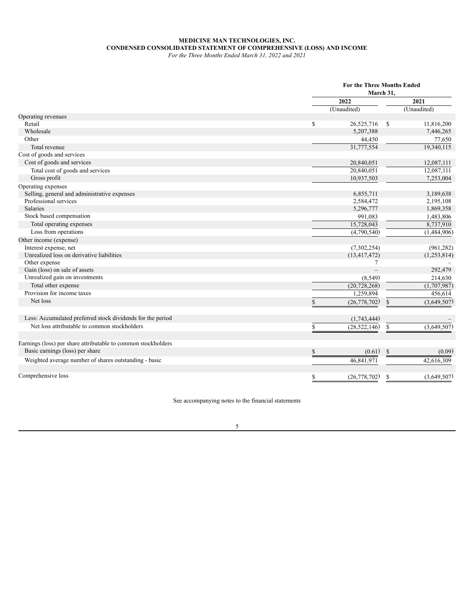# **MEDICINE MAN TECHNOLOGIES, INC. CONDENSED CONSOLIDATED STATEMENT OF COMPREHENSIVE (LOSS) AND INCOME**

| For the Three Months Ended March 31, 2022 and 2021 |  |
|----------------------------------------------------|--|
|----------------------------------------------------|--|

|                                                               |    | <b>For the Three Months Ended</b><br>March 31, |               |             |  |
|---------------------------------------------------------------|----|------------------------------------------------|---------------|-------------|--|
|                                                               |    | 2022                                           |               |             |  |
|                                                               |    | (Unaudited)                                    |               | (Unaudited) |  |
| Operating revenues                                            |    |                                                |               |             |  |
| Retail                                                        | \$ | 26,525,716                                     | <sup>\$</sup> | 11,816,200  |  |
| Wholesale                                                     |    | 5,207,388                                      |               | 7,446,265   |  |
| Other                                                         |    | 44,450                                         |               | 77,650      |  |
| Total revenue                                                 |    | 31,777,554                                     |               | 19,340,115  |  |
| Cost of goods and services                                    |    |                                                |               |             |  |
| Cost of goods and services                                    |    | 20,840,051                                     |               | 12,087,111  |  |
| Total cost of goods and services                              |    | 20,840,051                                     |               | 12,087,111  |  |
| Gross profit                                                  |    | 10,937,503                                     |               | 7,253,004   |  |
| Operating expenses                                            |    |                                                |               |             |  |
| Selling, general and administrative expenses                  |    | 6,855,711                                      |               | 3,189,638   |  |
| Professional services                                         |    | 2,584,472                                      |               | 2,195,108   |  |
| <b>Salaries</b>                                               |    | 5,296,777                                      |               | 1,869,358   |  |
| Stock based compensation                                      |    | 991,083                                        |               | 1,483,806   |  |
| Total operating expenses                                      |    | 15,728,043                                     |               | 8,737,910   |  |
| Loss from operations                                          |    | (4,790,540)                                    |               | (1,484,906) |  |
| Other income (expense)                                        |    |                                                |               |             |  |
| Interest expense, net                                         |    | (7,302,254)                                    |               | (961, 282)  |  |
| Unrealized loss on derivative liabilities                     |    | (13, 417, 472)                                 |               | (1,253,814) |  |
| Other expense                                                 |    | 7                                              |               |             |  |
| Gain (loss) on sale of assets                                 |    |                                                |               | 292,479     |  |
| Unrealized gain on investments                                |    | (8, 549)                                       |               | 214,630     |  |
| Total other expense                                           |    | (20, 728, 268)                                 |               | (1,707,987) |  |
| Provision for income taxes                                    |    | 1,259,894                                      |               | 456,614     |  |
| Net loss                                                      | S  | (26, 778, 702)                                 | \$            | (3,649,507) |  |
| Less: Accumulated preferred stock dividends for the period    |    | (1,743,444)                                    |               |             |  |
| Net loss attributable to common stockholders                  | S  | (28, 522, 146)                                 | $\mathbb{S}$  | (3,649,507) |  |
| Earnings (loss) per share attributable to common stockholders |    |                                                |               |             |  |
| Basic earnings (loss) per share                               | \$ | (0.61)                                         | $\mathbb{S}$  | (0.09)      |  |
|                                                               |    |                                                |               |             |  |
| Weighted average number of shares outstanding - basic         |    | 46,841,971                                     |               | 42,616,309  |  |
| Comprehensive loss                                            | \$ | (26, 778, 702)                                 | S             | (3.649.507) |  |

See accompanying notes to the financial statements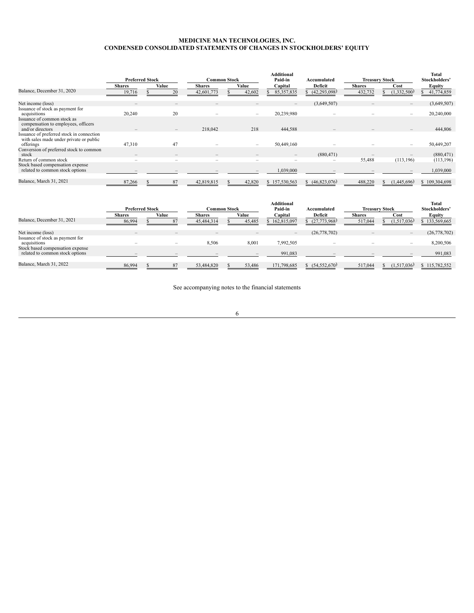### **MEDICINE MAN TECHNOLOGIES, INC. CONDENSED CONSOLIDATED STATEMENTS OF CHANGES IN STOCKHOLDERS' EQUITY**

|                                                                                                   | <b>Preferred Stock</b>   |                          |               | <b>Common Stock</b> | <b>Additional</b><br>Paid-in | Accumulated    | <b>Treasury Stock</b> | <b>Total</b><br>Stockholders' |               |
|---------------------------------------------------------------------------------------------------|--------------------------|--------------------------|---------------|---------------------|------------------------------|----------------|-----------------------|-------------------------------|---------------|
|                                                                                                   | <b>Shares</b>            | Value                    | <b>Shares</b> | Value               | Capital                      | Deficit        | <b>Shares</b>         | Cost                          | Equity        |
| Balance, December 31, 2020                                                                        | 19,716                   | 20                       | 42,601,773    | 42,602              | 85, 357, 835                 | (42, 293, 098) | 432,732               | (1,332,500)                   | 41,774,859    |
| Net income (loss)                                                                                 | $\overline{\phantom{a}}$ | $\qquad \qquad$          |               |                     | $\qquad \qquad -$            | (3,649,507)    |                       | $\overline{\phantom{a}}$      | (3,649,507)   |
| Issuance of stock as payment for<br>acquisitions                                                  | 20,240                   | 20                       |               |                     | 20,239,980                   |                |                       |                               | 20,240,000    |
| Issuance of common stock as<br>compensation to employees, officers<br>and/or directors            |                          |                          | 218,042       | 218                 | 444,588                      |                |                       |                               | 444,806       |
| Issuance of preferred stock in connection<br>with sales made under private or public<br>offerings | 47,310                   | 47                       |               |                     | 50,449,160                   |                |                       |                               | 50,449,207    |
| Conversion of preferred stock to common<br>stock                                                  | $\qquad \qquad -$        | $\qquad \qquad$          |               |                     | $\overline{\phantom{a}}$     | (880, 471)     |                       |                               | (880, 471)    |
| Return of common stock                                                                            | $\overline{\phantom{a}}$ | $\overline{\phantom{a}}$ |               |                     | $\overline{\phantom{a}}$     |                | 55,488                | (113, 196)                    | (113, 196)    |
| Stock based compensation expense<br>related to common stock options                               |                          |                          |               |                     | 039,000                      |                |                       |                               | 1,039,000     |
| Balance, March 31, 2021                                                                           | 87,266                   | 87                       | 42,819,815    | 42,820              | \$157,530,563                | \$(46,823,076) | 488,220               | (1,445,696)                   | \$109,304,698 |

|                                                                     |                          |                        |                 |                         | Additional    |                |                       |               | <b>Total</b>   |
|---------------------------------------------------------------------|--------------------------|------------------------|-----------------|-------------------------|---------------|----------------|-----------------------|---------------|----------------|
|                                                                     |                          | <b>Preferred Stock</b> |                 | Paid-in<br>Common Stock |               | Accumulated    | <b>Treasury Stock</b> | Stockholders' |                |
|                                                                     | <b>Shares</b>            | Value                  | <b>Shares</b>   | Value                   | Capital       | Deficit        | <b>Shares</b>         | Cost          | Equity         |
| Balance, December 31, 2021                                          | 86,994                   |                        | 45,484,314      | 45,485                  | \$162,815,097 | (27,773,968)   | 517,044               | (1,517,036)   | 133,569,665    |
| Net income (loss)<br>Issuance of stock as payment for               | $\overline{\phantom{0}}$ |                        | $\qquad \qquad$ |                         |               | (26,778,702)   |                       |               | (26, 778, 702) |
| acquisitions                                                        |                          |                        | 8,506           | 8,001                   | 7,992,505     |                |                       |               | 8,200,506      |
| Stock based compensation expense<br>related to common stock options |                          |                        |                 |                         | 991,083       |                |                       |               | 991,083        |
| Balance, March 31, 2022                                             | 86,994                   |                        | 53,484,820      | 53,486                  | 171,798,685   | (54, 552, 670) | 517,044               | (1,517,036)   | 115,782,552    |

See accompanying notes to the financial statements

6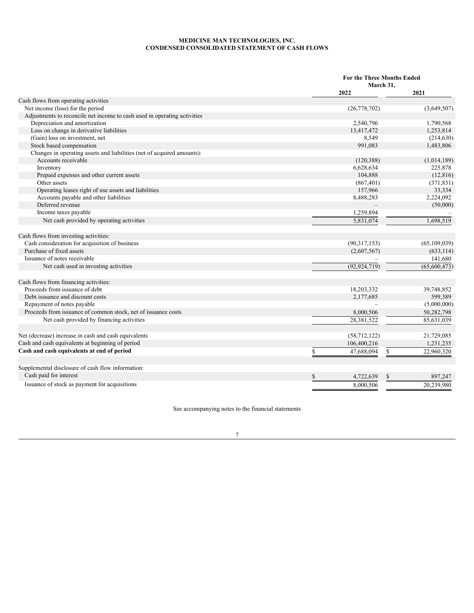### **MEDICINE MAN TECHNOLOGIES, INC. CONDENSED CONSOLIDATED STATEMENT OF CASH FLOWS**

|                                                                          |                  | <b>For the Three Months Ended</b><br>March 31, |                |  |
|--------------------------------------------------------------------------|------------------|------------------------------------------------|----------------|--|
|                                                                          | 2022             |                                                | 2021           |  |
| Cash flows from operating activities                                     |                  |                                                |                |  |
| Net income (loss) for the period                                         | (26, 778, 702)   |                                                | (3,649,507)    |  |
| Adjustments to reconcile net income to cash used in operating activities |                  |                                                |                |  |
| Depreciation and amortization                                            | 2,540,796        |                                                | 1,790,568      |  |
| Loss on change in derivative liabilities                                 | 13,417,472       |                                                | 1,253,814      |  |
| (Gain) loss on investment, net                                           | 8,549            |                                                | (214, 630)     |  |
| Stock based compensation                                                 | 991,083          |                                                | 1,483,806      |  |
| Changes in operating assets and liabilities (net of acquired amounts):   |                  |                                                |                |  |
| Accounts receivable                                                      | (120, 388)       |                                                | (1,014,189)    |  |
| Inventory                                                                | 6,628,634        |                                                | 225,878        |  |
| Prepaid expenses and other current assets                                | 104,888          |                                                | (12, 816)      |  |
| Other assets                                                             | (867, 401)       |                                                | (371, 831)     |  |
| Operating leases right of use assets and liabilities                     | 157,966          |                                                | 33,334         |  |
| Accounts payable and other liabilities                                   | 8,488,283        |                                                | 2,224,092      |  |
| Deferred revenue                                                         |                  |                                                | (50,000)       |  |
| Income taxes payable                                                     | 1,259,894        |                                                |                |  |
| Net cash provided by operating activities                                | 5.831.074        |                                                | 1.698.519      |  |
| Cash flows from investing activities:                                    |                  |                                                |                |  |
| Cash consideration for acquisition of business                           | (90,317,153)     |                                                | (65, 109, 039) |  |
| Purchase of fixed assets                                                 | (2,607,567)      |                                                | (633, 114)     |  |
| Issuance of notes receivable                                             |                  |                                                | 141,680        |  |
| Net cash used in investing activities                                    | (92, 924, 719)   |                                                | (65,600,473)   |  |
| Cash flows from financing activities:                                    |                  |                                                |                |  |
| Proceeds from issuance of debt                                           | 18,203,332       |                                                | 39,748,852     |  |
| Debt issuance and discount costs                                         | 2,177,685        |                                                | 599,389        |  |
| Repayment of notes payable                                               |                  |                                                | (5,000,000)    |  |
| Proceeds from issuance of common stock, net of issuance costs            | 8,000,506        |                                                | 50,282,798     |  |
| Net cash provided by financing activities                                | 28,381,522       |                                                | 85,631,039     |  |
| Net (decrease) increase in cash and cash equivalents                     | (58, 712, 122)   |                                                | 21,729,085     |  |
| Cash and cash equivalents at beginning of period                         | 106,400,216      |                                                | 1,231,235      |  |
| Cash and cash equivalents at end of period                               | \$<br>47,688,094 | \$                                             | 22,960,320     |  |
| Supplemental disclosure of cash flow information:                        |                  |                                                |                |  |
| Cash paid for interest                                                   | S<br>4.722.639   | \$                                             | 897.247        |  |
| Issuance of stock as payment for acquisitions                            | 8,000,506        |                                                | 20,239,980     |  |

See accompanying notes to the financial statements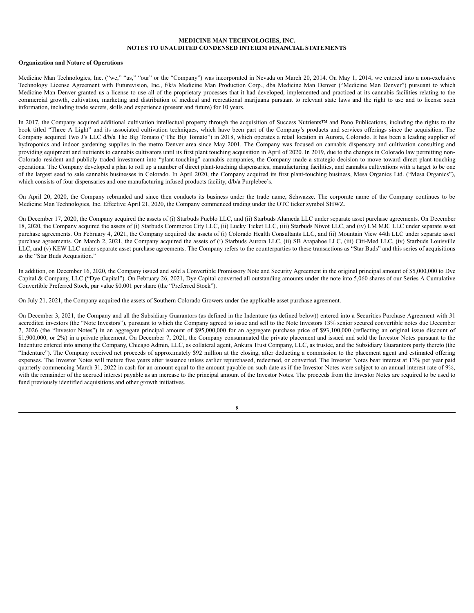# **MEDICINE MAN TECHNOLOGIES, INC. NOTES TO UNAUDITED CONDENSED INTERIM FINANCIAL STATEMENTS**

#### **Organization and Nature of Operations**

Medicine Man Technologies, Inc. ("we," "us," "our" or the "Company") was incorporated in Nevada on March 20, 2014. On May 1, 2014, we entered into a non-exclusive Technology License Agreement with Futurevision, Inc., f/k/a Medicine Man Production Corp., dba Medicine Man Denver ("Medicine Man Denver") pursuant to which Medicine Man Denver granted us a license to use all of the proprietary processes that it had developed, implemented and practiced at its cannabis facilities relating to the commercial growth, cultivation, marketing and distribution of medical and recreational marijuana pursuant to relevant state laws and the right to use and to license such information, including trade secrets, skills and experience (present and future) for 10 years.

In 2017, the Company acquired additional cultivation intellectual property through the acquisition of Success Nutrients™ and Pono Publications, including the rights to the book titled "Three A Light" and its associated cultivation techniques, which have been part of the Company's products and services offerings since the acquisition. The Company acquired Two J's LLC d/b/a The Big Tomato ("The Big Tomato") in 2018, which operates a retail location in Aurora, Colorado. It has been a leading supplier of hydroponics and indoor gardening supplies in the metro Denver area since May 2001. The Company was focused on cannabis dispensary and cultivation consulting and providing equipment and nutrients to cannabis cultivators until its first plant touching acquisition in April of 2020. In 2019, due to the changes in Colorado law permitting non-Colorado resident and publicly traded investment into "plant-touching" cannabis companies, the Company made a strategic decision to move toward direct plant-touching operations. The Company developed a plan to roll up a number of direct plant-touching dispensaries, manufacturing facilities, and cannabis cultivations with a target to be one of the largest seed to sale cannabis businesses in Colorado. In April 2020, the Company acquired its first plant-touching business, Mesa Organics Ltd. ("Mesa Organics"), which consists of four dispensaries and one manufacturing infused products facility,  $d/b/a$  Purplebee's.

On April 20, 2020, the Company rebranded and since then conducts its business under the trade name, Schwazze. The corporate name of the Company continues to be Medicine Man Technologies, Inc. Effective April 21, 2020, the Company commenced trading under the OTC ticker symbol SHWZ.

On December 17, 2020, the Company acquired the assets of (i) Starbuds Pueblo LLC, and (ii) Starbuds Alameda LLC under separate asset purchase agreements. On December 18, 2020, the Company acquired the assets of (i) Starbuds Commerce City LLC, (ii) Lucky Ticket LLC, (iii) Starbuds Niwot LLC, and (iv) LM MJC LLC under separate asset purchase agreements. On February 4, 2021, the Company acquired the assets of (i) Colorado Health Consultants LLC, and (ii) Mountain View 44th LLC under separate asset purchase agreements. On March 2, 2021, the Company acquired the assets of (i) Starbuds Aurora LLC, (ii) SB Arapahoe LLC, (iii) Citi-Med LLC, (iv) Starbuds Louisville LLC, and (v) KEW LLC under separate asset purchase agreements. The Company refers to the counterparties to these transactions as "Star Buds" and this series of acquisitions as the "Star Buds Acquisition."

In addition, on December 16, 2020, the Company issued and sold a Convertible Promissory Note and Security Agreement in the original principal amount of \$5,000,000 to Dye Capital & Company, LLC ("Dye Capital"). On February 26, 2021, Dye Capital converted all outstanding amounts under the note into 5,060 shares of our Series A Cumulative Convertible Preferred Stock, par value \$0.001 per share (the "Preferred Stock").

On July 21, 2021, the Company acquired the assets of Southern Colorado Growers under the applicable asset purchase agreement.

On December 3, 2021, the Company and all the Subsidiary Guarantors (as defined in the Indenture (as defined below)) entered into a Securities Purchase Agreement with 31 accredited investors (the "Note Investors"), pursuant to which the Company agreed to issue and sell to the Note Investors 13% senior secured convertible notes due December 7, 2026 (the "Investor Notes") in an aggregate principal amount of \$95,000,000 for an aggregate purchase price of \$93,100,000 (reflecting an original issue discount of \$1,900,000, or 2%) in a private placement. On December 7, 2021, the Company consummated the private placement and issued and sold the Investor Notes pursuant to the Indenture entered into among the Company, Chicago Admin, LLC, as collateral agent, Ankura Trust Company, LLC, as trustee, and the Subsidiary Guarantors party thereto (the "Indenture"). The Company received net proceeds of approximately \$92 million at the closing, after deducting a commission to the placement agent and estimated offering expenses. The Investor Notes will mature five years after issuance unless earlier repurchased, redeemed, or converted. The Investor Notes bear interest at 13% per year paid quarterly commencing March 31, 2022 in cash for an amount equal to the amount payable on such date as if the Investor Notes were subject to an annual interest rate of 9%, with the remainder of the accrued interest payable as an increase to the principal amount of the Investor Notes. The proceeds from the Investor Notes are required to be used to fund previously identified acquisitions and other growth initiatives.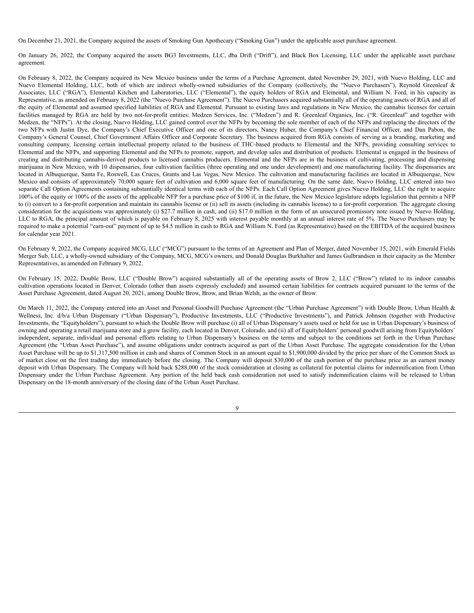On December 21, 2021, the Company acquired the assets of Smoking Gun Apothecary ("Smoking Gun") under the applicable asset purchase agreement.

On January 26, 2022, the Company acquired the assets BG3 Investments, LLC, dba Drift ("Drift"), and Black Box Licensing, LLC under the applicable asset purchase agreement.

On February 8, 2022, the Company acquired its New Mexico business under the terms of a Purchase Agreement, dated November 29, 2021, with Nuevo Holding, LLC and Nuevo Elemental Holding, LLC, both of which are indirect wholly-owned subsidiaries of the Company (collectively, the "Nuevo Purchasers"), Reynold Greenleaf & Associates, LLC ("RGA"), Elemental Kitchen and Laboratories, LLC ("Elemental"), the equity holders of RGA and Elemental, and William N. Ford, in his capacity as Representative, as amended on February 8, 2022 (the "Nuevo Purchase Agreement"). The Nuevo Purchasers acquired substantially all of the operating assets of RGA and all of the equity of Elemental and assumed specified liabilities of RGA and Elemental. Pursuant to existing laws and regulations in New Mexico, the cannabis licenses for certain facilities managed by RGA are held by two not-for-profit entities: Medzen Services, Inc. ("Medzen") and R. Greenleaf Organics, Inc. ("R. Greenleaf" and together with Medzen, the "NFPs"). At the closing, Nuevo Holding, LLC gained control over the NFPs by becoming the sole member of each of the NFPs and replacing the directors of the two NFPs with Justin Dye, the Company's Chief Executive Officer and one of its directors, Nancy Huber, the Company's Chief Financial Officer, and Dan Pabon, the Company's General Counsel, Chief Government Affairs Officer and Corporate Secretary. The business acquired from RGA consists of serving as a branding, marketing and consulting company, licensing certain intellectual property related to the business of THC-based products to Elemental and the NFPs, providing consulting services to Elemental and the NFPs, and supporting Elemental and the NFPs to promote, support, and develop sales and distribution of products. Elemental is engaged in the business of creating and distributing cannabis-derived products to licensed cannabis producers. Elemental and the NFPs are in the business of cultivating, processing and dispensing marijuana in New Mexico, with 10 dispensaries, four cultivation facilities (three operating and one under development) and one manufacturing facility. The dispensaries are located in Albuquerque, Santa Fe, Roswell, Las Cruces, Grants and Las Vegas, New Mexico. The cultivation and manufacturing facilities are located in Albuquerque, New Mexico and consists of approximately 70,000 square feet of cultivation and 6,000 square feet of manufacturing. On the same date, Nuevo Holding, LLC entered into two separate Call Option Agreements containing substantially identical terms with each of the NFPs. Each Call Option Agreement gives Nuevo Holding, LLC the right to acquire 100% of the equity or 100% of the assets of the applicable NFP for a purchase price of \$100 if, in the future, the New Mexico legislature adopts legislation that permits a NFP to (i) convert to a for-profit corporation and maintain its cannabis license or (ii) sell its assets (including its cannabis license) to a for-profit corporation. The aggregate closing consideration for the acquisitions was approximately (i) \$27.7 million in cash, and (ii) \$17.0 million in the form of an unsecured promissory note issued by Nuevo Holding, LLC to RGA, the principal amount of which is payable on February 8, 2025 with interest payable monthly at an annual interest rate of 5%. The Nuevo Purchasers may be required to make a potential "earn-out" payment of up to \$4.5 million in cash to RGA and William N. Ford (as Representative) based on the EBITDA of the acquired business for calendar year 2021.

On February 9, 2022, the Company acquired MCG, LLC ("MCG") pursuant to the terms of an Agreement and Plan of Merger, dated November 15, 2021, with Emerald Fields Merger Sub, LLC, a wholly-owned subsidiary of the Company, MCG, MCG's owners, and Donald Douglas Burkhalter and James Gulbrandsen in their capacity as the Member Representatives, as amended on February 9, 2022.

On February 15, 2022, Double Brow, LLC ("Double Brow") acquired substantially all of the operating assets of Brow 2, LLC ("Brow") related to its indoor cannabis cultivation operations located in Denver, Colorado (other than assets expressly excluded) and assumed certain liabilities for contracts acquired pursuant to the terms of the Asset Purchase Agreement, dated August 20, 2021, among Double Brow, Brow, and Brian Welsh, as the owner of Brow.

On March 11, 2022, the Company entered into an Asset and Personal Goodwill Purchase Agreement (the "Urban Purchase Agreement") with Double Brow, Urban Health & Wellness, Inc. d/b/a Urban Dispensary ("Urban Dispensary"), Productive Investments, LLC ("Productive Investments"), and Patrick Johnson (together with Productive Investments, the "Equityholders"), pursuant to which the Double Brow will purchase (i) all of Urban Dispensary's assets used or held for use in Urban Dispensary's business of owning and operating a retail marijuana store and a grow facility, each located in Denver, Colorado, and (ii) all of Equityholders' personal goodwill arising from Equityholders' independent, separate, individual and personal efforts relating to Urban Dispensary's business on the terms and subject to the conditions set forth in the Urban Purchase Agreement (the "Urban Asset Purchase"), and assume obligations under contracts acquired as part of the Urban Asset Purchase. The aggregate consideration for the Urban Asset Purchase will be up to \$1,317,500 million in cash and shares of Common Stock in an amount equal to \$1,900,000 divided by the price per share of the Common Stock as of market close on the first trading day immediately before the closing. The Company will deposit \$30,000 of the cash portion of the purchase price as an earnest money deposit with Urban Dispensary. The Company will hold back \$288,000 of the stock consideration at closing as collateral for potential claims for indemnification from Urban Dispensary under the Urban Purchase Agreement. Any portion of the held back cash consideration not used to satisfy indemnification claims will be released to Urban Dispensary on the 18-month anniversary of the closing date of the Urban Asset Purchase.

**Q**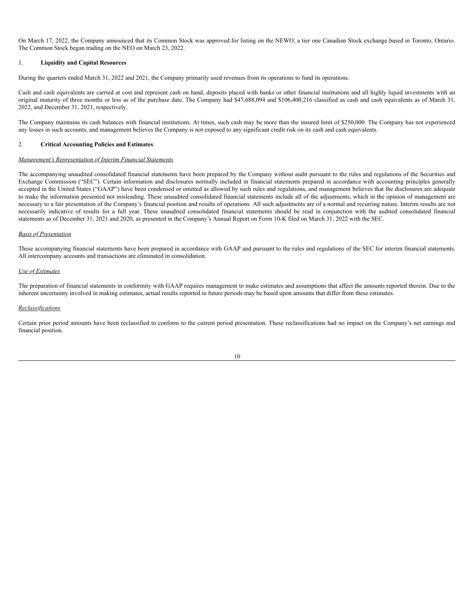On March 17, 2022, the Company announced that its Common Stock was approved for listing on the NEWO, a tier one Canadian Stock exchange based in Toronto, Ontario. The Common Stock began trading on the NEO on March 23, 2022.

### 1. **Liquidity and Capital Resources**

During the quarters ended March 31, 2022 and 2021, the Company primarily used revenues from its operations to fund its operations.

Cash and cash equivalents are carried at cost and represent cash on hand, deposits placed with banks or other financial institutions and all highly liquid investments with an original maturity of three months or less as of the purchase date. The Company had \$47,688,094 and \$106,400,216 classified as cash and cash equivalents as of March 31, 2022, and December 31, 2021, respectively.

The Company maintains its cash balances with financial institutions. At times, such cash may be more than the insured limit of \$250,000. The Company has not experienced any losses in such accounts, and management believes the Company is not exposed to any significant credit risk on its cash and cash equivalents.

### 2. **Critical Accounting Policies and Estimates**

### *Management's Representation of Interim Financial Statements*

The accompanying unaudited consolidated financial statements have been prepared by the Company without audit pursuant to the rules and regulations of the Securities and Exchange Commission ("SEC"). Certain information and disclosures normally included in financial statements prepared in accordance with accounting principles generally accepted in the United States ("GAAP") have been condensed or omitted as allowed by such rules and regulations, and management believes that the disclosures are adequate to make the information presented not misleading. These unaudited consolidated financial statements include all of the adjustments, which in the opinion of management are necessary to a fair presentation of the Company's financial position and results of operations. All such adjustments are of a normal and recurring nature. Interim results are not necessarily indicative of results for a full year. These unaudited consolidated financial statements should be read in conjunction with the audited consolidated financial statements as of December 31, 2021 and 2020, as presented in the Company's Annual Report on Form 10-K filed on March 31, 2022 with the SEC.

### *Basis of Presentation*

These accompanying financial statements have been prepared in accordance with GAAP and pursuant to the rules and regulations of the SEC for interim financial statements. All intercompany accounts and transactions are eliminated in consolidation.

### *Use of Estimates*

The preparation of financial statements in conformity with GAAP requires management to make estimates and assumptions that affect the amounts reported therein. Due to the inherent uncertainty involved in making estimates, actual results reported in future periods may be based upon amounts that differ from these estimates.

### *Reclassifications*

Certain prior period amounts have been reclassified to conform to the current period presentation. These reclassifications had no impact on the Company's net earnings and financial position.

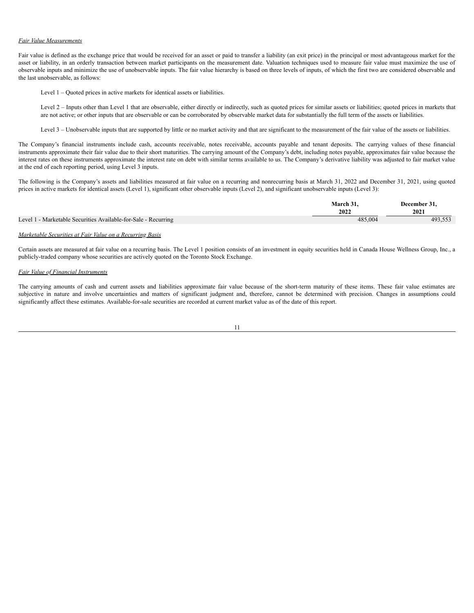### *Fair Value Measurements*

Fair value is defined as the exchange price that would be received for an asset or paid to transfer a liability (an exit price) in the principal or most advantageous market for the asset or liability, in an orderly transaction between market participants on the measurement date. Valuation techniques used to measure fair value must maximize the use of observable inputs and minimize the use of unobservable inputs. The fair value hierarchy is based on three levels of inputs, of which the first two are considered observable and the last unobservable, as follows:

Level 1 – Quoted prices in active markets for identical assets or liabilities.

Level 2 – Inputs other than Level 1 that are observable, either directly or indirectly, such as quoted prices for similar assets or liabilities; quoted prices in markets that are not active; or other inputs that are observable or can be corroborated by observable market data for substantially the full term of the assets or liabilities.

Level 3 – Unobservable inputs that are supported by little or no market activity and that are significant to the measurement of the fair value of the assets or liabilities.

The Company's financial instruments include cash, accounts receivable, notes receivable, accounts payable and tenant deposits. The carrying values of these financial instruments approximate their fair value due to their short maturities. The carrying amount of the Company's debt, including notes payable, approximates fair value because the interest rates on these instruments approximate the interest rate on debt with similar terms available to us. The Company's derivative liability was adjusted to fair market value at the end of each reporting period, using Level 3 inputs.

The following is the Company's assets and liabilities measured at fair value on a recurring and nonrecurring basis at March 31, 2022 and December 31, 2021, using quoted prices in active markets for identical assets (Level 1), significant other observable inputs (Level 2), and significant unobservable inputs (Level 3):

|                                                                | March 31. | December 31, |
|----------------------------------------------------------------|-----------|--------------|
|                                                                | 2022      | 2021         |
| Level 1 - Marketable Securities Available-for-Sale - Recurring | 485.004   | 493,553      |
|                                                                |           |              |

### *Marketable Securities at Fair Value on a Recurring Basis*

Certain assets are measured at fair value on a recurring basis. The Level 1 position consists of an investment in equity securities held in Canada House Wellness Group, Inc., a publicly-traded company whose securities are actively quoted on the Toronto Stock Exchange.

# *Fair Value of Financial Instruments*

The carrying amounts of cash and current assets and liabilities approximate fair value because of the short-term maturity of these items. These fair value estimates are subjective in nature and involve uncertainties and matters of significant judgment and, therefore, cannot be determined with precision. Changes in assumptions could significantly affect these estimates. Available-for-sale securities are recorded at current market value as of the date of this report.

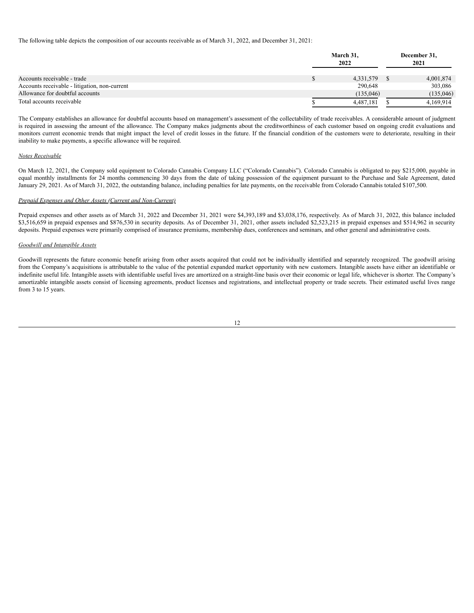The following table depicts the composition of our accounts receivable as of March 31, 2022, and December 31, 2021:

|                                                                              | March 31,<br>2022      |  |                        |
|------------------------------------------------------------------------------|------------------------|--|------------------------|
| Accounts receivable - trade<br>Accounts receivable - litigation, non-current | 4,331,579<br>290,648   |  | 4,001,874<br>303,086   |
| Allowance for doubtful accounts<br>Total accounts receivable                 | (135.046)<br>4.487.181 |  | (135,046)<br>4.169.914 |

The Company establishes an allowance for doubtful accounts based on management's assessment of the collectability of trade receivables. A considerable amount of judgment is required in assessing the amount of the allowance. The Company makes judgments about the creditworthiness of each customer based on ongoing credit evaluations and monitors current economic trends that might impact the level of credit losses in the future. If the financial condition of the customers were to deteriorate, resulting in their inability to make payments, a specific allowance will be required.

#### *Notes Receivable*

On March 12, 2021, the Company sold equipment to Colorado Cannabis Company LLC ("Colorado Cannabis"). Colorado Cannabis is obligated to pay \$215,000, payable in equal monthly installments for 24 months commencing 30 days from the date of taking possession of the equipment pursuant to the Purchase and Sale Agreement, dated January 29, 2021. As of March 31, 2022, the outstanding balance, including penalties for late payments, on the receivable from Colorado Cannabis totaled \$107,500.

### *Prepaid Expenses and Other Assets (Current and Non-Current)*

Prepaid expenses and other assets as of March 31, 2022 and December 31, 2021 were \$4,393,189 and \$3,038,176, respectively. As of March 31, 2022, this balance included \$3,516,659 in prepaid expenses and \$876,530 in security deposits. As of December 31, 2021, other assets included \$2,523,215 in prepaid expenses and \$514,962 in security deposits. Prepaid expenses were primarily comprised of insurance premiums, membership dues, conferences and seminars, and other general and administrative costs.

#### *Goodwill and Intangible Assets*

Goodwill represents the future economic benefit arising from other assets acquired that could not be individually identified and separately recognized. The goodwill arising from the Company's acquisitions is attributable to the value of the potential expanded market opportunity with new customers. Intangible assets have either an identifiable or indefinite useful life. Intangible assets with identifiable useful lives are amortized on a straight-line basis over their economic or legal life, whichever is shorter. The Company's amortizable intangible assets consist of licensing agreements, product licenses and registrations, and intellectual property or trade secrets. Their estimated useful lives range from 3 to 15 years.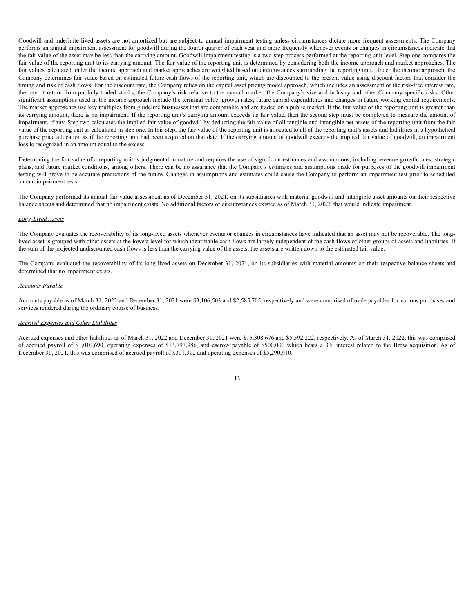Goodwill and indefinite-lived assets are not amortized but are subject to annual impairment testing unless circumstances dictate more frequent assessments. The Company performs an annual impairment assessment for goodwill during the fourth quarter of each year and more frequently whenever events or changes in circumstances indicate that the fair value of the asset may be less than the carrying amount. Goodwill impairment testing is a two-step process performed at the reporting unit level. Step one compares the fair value of the reporting unit to its carrying amount. The fair value of the reporting unit is determined by considering both the income approach and market approaches. The fair values calculated under the income approach and market approaches are weighted based on circumstances surrounding the reporting unit. Under the income approach, the Company determines fair value based on estimated future cash flows of the reporting unit, which are discounted to the present value using discount factors that consider the timing and risk of cash flows. For the discount rate, the Company relies on the capital asset pricing model approach, which includes an assessment of the risk-free interest rate, the rate of return from publicly traded stocks, the Company's risk relative to the overall market, the Company's size and industry and other Company-specific risks. Other significant assumptions used in the income approach include the terminal value, growth rates, future capital expenditures and changes in future working capital requirements. The market approaches use key multiples from guideline businesses that are comparable and are traded on a public market. If the fair value of the reporting unit is greater than its carrying amount, there is no impairment. If the reporting unit's carrying amount exceeds its fair value, then the second step must be completed to measure the amount of impairment, if any. Step two calculates the implied fair value of goodwill by deducting the fair value of all tangible and intangible net assets of the reporting unit from the fair value of the reporting unit as calculated in step one. In this step, the fair value of the reporting unit is allocated to all of the reporting unit's assets and liabilities in a hypothetical purchase price allocation as if the reporting unit had been acquired on that date. If the carrying amount of goodwill exceeds the implied fair value of goodwill, an impairment loss is recognized in an amount equal to the excess.

Determining the fair value of a reporting unit is judgmental in nature and requires the use of significant estimates and assumptions, including revenue growth rates, strategic plans, and future market conditions, among others. There can be no assurance that the Company's estimates and assumptions made for purposes of the goodwill impairment testing will prove to be accurate predictions of the future. Changes in assumptions and estimates could cause the Company to perform an impairment test prior to scheduled annual impairment tests.

The Company performed its annual fair value assessment as of December 31, 2021, on its subsidiaries with material goodwill and intangible asset amounts on their respective balance sheets and determined that no impairment exists. No additional factors or circumstances existed as of March 31, 2022, that would indicate impairment.

#### *Long-Lived Assets*

The Company evaluates the recoverability of its long-lived assets whenever events or changes in circumstances have indicated that an asset may not be recoverable. The longlived asset is grouped with other assets at the lowest level for which identifiable cash flows are largely independent of the cash flows of other groups of assets and liabilities. If the sum of the projected undiscounted cash flows is less than the carrying value of the assets, the assets are written down to the estimated fair value.

The Company evaluated the recoverability of its long-lived assets on December 31, 2021, on its subsidiaries with material amounts on their respective balance sheets and determined that no impairment exists.

### *Accounts Payable*

Accounts payable as of March 31, 2022 and December 31, 2021 were \$3,106,503 and \$2,585,705, respectively and were comprised of trade payables for various purchases and services rendered during the ordinary course of business.

#### *Accrued Expenses and Other Liabilities*

Accrued expenses and other liabilities as of March 31, 2022 and December 31, 2021 were \$15,308,676 and \$5,592,222, respectively. As of March 31, 2022, this was comprised of accrued payroll of \$1,010,690, operating expenses of \$13,797,986, and escrow payable of \$500,000 which bears a 3% interest related to the Brow acquisition. As of December 31, 2021, this was comprised of accrued payroll of \$301,312 and operating expenses of \$5,290,910.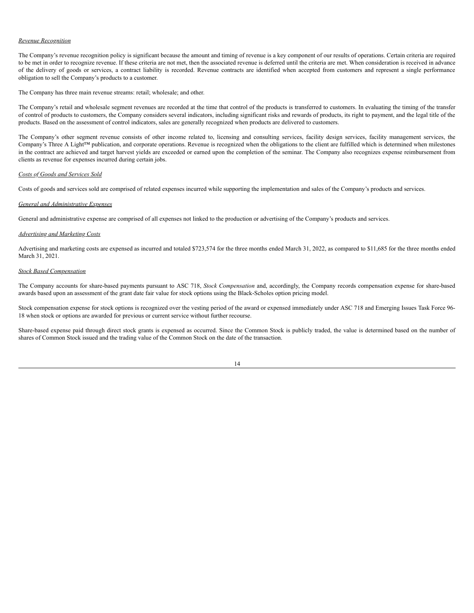### *Revenue Recognition*

The Company's revenue recognition policy is significant because the amount and timing of revenue is a key component of our results of operations. Certain criteria are required to be met in order to recognize revenue. If these criteria are not met, then the associated revenue is deferred until the criteria are met. When consideration is received in advance of the delivery of goods or services, a contract liability is recorded. Revenue contracts are identified when accepted from customers and represent a single performance obligation to sell the Company's products to a customer.

The Company has three main revenue streams: retail; wholesale; and other.

The Company's retail and wholesale segment revenues are recorded at the time that control of the products is transferred to customers. In evaluating the timing of the transfer of control of products to customers, the Company considers several indicators, including significant risks and rewards of products, its right to payment, and the legal title of the products. Based on the assessment of control indicators, sales are generally recognized when products are delivered to customers.

The Company's other segment revenue consists of other income related to, licensing and consulting services, facility design services, facility management services, the Company's Three A Light™ publication, and corporate operations. Revenue is recognized when the obligations to the client are fulfilled which is determined when milestones in the contract are achieved and target harvest yields are exceeded or earned upon the completion of the seminar. The Company also recognizes expense reimbursement from clients as revenue for expenses incurred during certain jobs.

### *Costs of Goods and Services Sold*

Costs of goods and services sold are comprised of related expenses incurred while supporting the implementation and sales of the Company's products and services.

### *General and Administrative Expenses*

General and administrative expense are comprised of all expenses not linked to the production or advertising of the Company's products and services.

### *Advertising and Marketing Costs*

Advertising and marketing costs are expensed as incurred and totaled \$723,574 for the three months ended March 31, 2022, as compared to \$11,685 for the three months ended March 31, 2021.

### *Stock Based Compensation*

The Company accounts for share-based payments pursuant to ASC 718, *Stock Compensation* and, accordingly, the Company records compensation expense for share-based awards based upon an assessment of the grant date fair value for stock options using the Black-Scholes option pricing model.

Stock compensation expense for stock options is recognized over the vesting period of the award or expensed immediately under ASC 718 and Emerging Issues Task Force 96- 18 when stock or options are awarded for previous or current service without further recourse.

Share-based expense paid through direct stock grants is expensed as occurred. Since the Common Stock is publicly traded, the value is determined based on the number of shares of Common Stock issued and the trading value of the Common Stock on the date of the transaction.

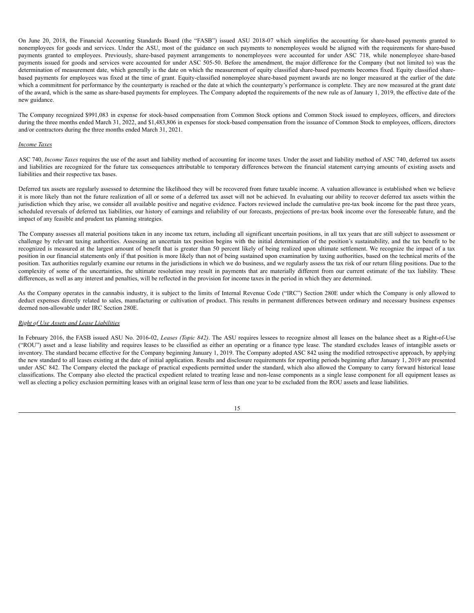On June 20, 2018, the Financial Accounting Standards Board (the "FASB") issued ASU 2018-07 which simplifies the accounting for share-based payments granted to nonemployees for goods and services. Under the ASU, most of the guidance on such payments to nonemployees would be aligned with the requirements for share-based payments granted to employees. Previously, share-based payment arrangements to nonemployees were accounted for under ASC 718, while nonemployee share-based payments issued for goods and services were accounted for under ASC 505-50. Before the amendment, the major difference for the Company (but not limited to) was the determination of measurement date, which generally is the date on which the measurement of equity classified share-based payments becomes fixed. Equity classified sharebased payments for employees was fixed at the time of grant. Equity-classified nonemployee share-based payment awards are no longer measured at the earlier of the date which a commitment for performance by the counterparty is reached or the date at which the counterparty's performance is complete. They are now measured at the grant date of the award, which is the same as share-based payments for employees. The Company adopted the requirements of the new rule as of January 1, 2019, the effective date of the new guidance.

The Company recognized \$991,083 in expense for stock-based compensation from Common Stock options and Common Stock issued to employees, officers, and directors during the three months ended March 31, 2022, and \$1,483,806 in expenses for stock-based compensation from the issuance of Common Stock to employees, officers, directors and/or contractors during the three months ended March 31, 2021.

### *Income Taxes*

ASC 740, *Income Taxes* requires the use of the asset and liability method of accounting for income taxes. Under the asset and liability method of ASC 740, deferred tax assets and liabilities are recognized for the future tax consequences attributable to temporary differences between the financial statement carrying amounts of existing assets and liabilities and their respective tax bases.

Deferred tax assets are regularly assessed to determine the likelihood they will be recovered from future taxable income. A valuation allowance is established when we believe it is more likely than not the future realization of all or some of a deferred tax asset will not be achieved. In evaluating our ability to recover deferred tax assets within the jurisdiction which they arise, we consider all available positive and negative evidence. Factors reviewed include the cumulative pre-tax book income for the past three years, scheduled reversals of deferred tax liabilities, our history of earnings and reliability of our forecasts, projections of pre-tax book income over the foreseeable future, and the impact of any feasible and prudent tax planning strategies.

The Company assesses all material positions taken in any income tax return, including all significant uncertain positions, in all tax years that are still subject to assessment or challenge by relevant taxing authorities. Assessing an uncertain tax position begins with the initial determination of the position's sustainability, and the tax benefit to be recognized is measured at the largest amount of benefit that is greater than 50 percent likely of being realized upon ultimate settlement. We recognize the impact of a tax position in our financial statements only if that position is more likely than not of being sustained upon examination by taxing authorities, based on the technical merits of the position. Tax authorities regularly examine our returns in the jurisdictions in which we do business, and we regularly assess the tax risk of our return filing positions. Due to the complexity of some of the uncertainties, the ultimate resolution may result in payments that are materially different from our current estimate of the tax liability. These differences, as well as any interest and penalties, will be reflected in the provision for income taxes in the period in which they are determined.

As the Company operates in the cannabis industry, it is subject to the limits of Internal Revenue Code ("IRC") Section 280E under which the Company is only allowed to deduct expenses directly related to sales, manufacturing or cultivation of product. This results in permanent differences between ordinary and necessary business expenses deemed non-allowable under IRC Section 280E.

### *Right of Use Assets and Lease Liabilities*

In February 2016, the FASB issued ASU No. 2016-02, *Leases (Topic 842)*. The ASU requires lessees to recognize almost all leases on the balance sheet as a Right-of-Use ("ROU") asset and a lease liability and requires leases to be classified as either an operating or a finance type lease. The standard excludes leases of intangible assets or inventory. The standard became effective for the Company beginning January 1, 2019. The Company adopted ASC 842 using the modified retrospective approach, by applying the new standard to all leases existing at the date of initial application. Results and disclosure requirements for reporting periods beginning after January 1, 2019 are presented under ASC 842. The Company elected the package of practical expedients permitted under the standard, which also allowed the Company to carry forward historical lease classifications. The Company also elected the practical expedient related to treating lease and non-lease components as a single lease component for all equipment leases as well as electing a policy exclusion permitting leases with an original lease term of less than one year to be excluded from the ROU assets and lease liabilities.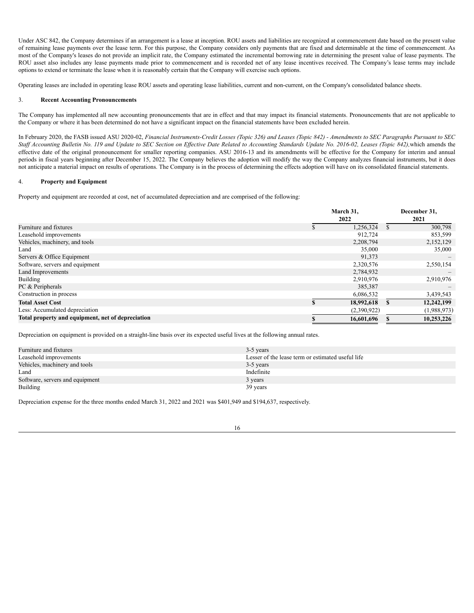Under ASC 842, the Company determines if an arrangement is a lease at inception. ROU assets and liabilities are recognized at commencement date based on the present value of remaining lease payments over the lease term. For this purpose, the Company considers only payments that are fixed and determinable at the time of commencement. As most of the Company's leases do not provide an implicit rate, the Company estimated the incremental borrowing rate in determining the present value of lease payments. The ROU asset also includes any lease payments made prior to commencement and is recorded net of any lease incentives received. The Company's lease terms may include options to extend or terminate the lease when it is reasonably certain that the Company will exercise such options.

Operating leases are included in operating lease ROU assets and operating lease liabilities, current and non-current, on the Company's consolidated balance sheets.

### 3. **Recent Accounting Pronouncements**

The Company has implemented all new accounting pronouncements that are in effect and that may impact its financial statements. Pronouncements that are not applicable to the Company or where it has been determined do not have a significant impact on the financial statements have been excluded herein.

In February 2020, the FASB issued ASU 2020-02, Financial Instruments-Credit Losses (Topic 326) and Leases (Topic 842) - Amendments to SEC Paragraphs Pursuant to SEC Staff Accounting Bulletin No. 119 and Update to SEC Section on Effective Date Related to Accounting Standards Update No. 2016-02, Leases (Topic 842), which amends the effective date of the original pronouncement for smaller reporting companies. ASU 2016-13 and its amendments will be effective for the Company for interim and annual periods in fiscal years beginning after December 15, 2022. The Company believes the adoption will modify the way the Company analyzes financial instruments, but it does not anticipate a material impact on results of operations. The Company is in the process of determining the effects adoption will have on its consolidated financial statements.

# 4. **Property and Equipment**

Property and equipment are recorded at cost, net of accumulated depreciation and are comprised of the following:

|                                                   | March 31, |             |   | December 31, |  |
|---------------------------------------------------|-----------|-------------|---|--------------|--|
|                                                   | 2022      |             |   | 2021         |  |
| Furniture and fixtures                            |           | 1,256,324   | S | 300,798      |  |
| Leasehold improvements                            |           | 912,724     |   | 853,599      |  |
| Vehicles, machinery, and tools                    |           | 2,208,794   |   | 2,152,129    |  |
| Land                                              |           | 35,000      |   | 35,000       |  |
| Servers & Office Equipment                        |           | 91,373      |   |              |  |
| Software, servers and equipment                   |           | 2,320,576   |   | 2,550,154    |  |
| <b>Land Improvements</b>                          |           | 2,784,932   |   |              |  |
| <b>Building</b>                                   |           | 2,910,976   |   | 2,910,976    |  |
| PC & Peripherals                                  |           | 385,387     |   |              |  |
| Construction in process                           |           | 6,086,532   |   | 3,439,543    |  |
| <b>Total Asset Cost</b>                           |           | 18,992,618  |   | 12,242,199   |  |
| Less: Accumulated depreciation                    |           | (2,390,922) |   | (1,988,973)  |  |
| Total property and equipment, net of depreciation |           | 16,601,696  |   | 10,253,226   |  |

Depreciation on equipment is provided on a straight-line basis over its expected useful lives at the following annual rates.

| Furniture and fixtures          | 3-5 years                                         |
|---------------------------------|---------------------------------------------------|
| Leasehold improvements          | Lesser of the lease term or estimated useful life |
| Vehicles, machinery and tools   | 3-5 years                                         |
| Land                            | Indefinite                                        |
| Software, servers and equipment | 3 years                                           |
| <b>Building</b>                 | 39 years                                          |

Depreciation expense for the three months ended March 31, 2022 and 2021 was \$401,949 and \$194,637, respectively.

| ۰.<br>٦           |
|-------------------|
| I<br>I<br>×<br>۰, |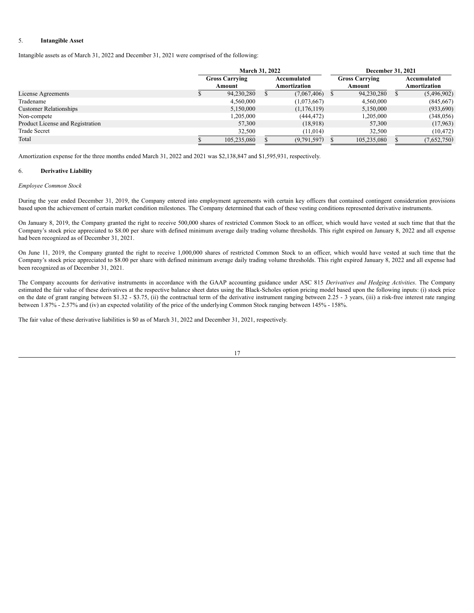### 5. **Intangible Asset**

Intangible assets as of March 31, 2022 and December 31, 2021 were comprised of the following:

|                                  | <b>March 31, 2022</b>           |  |                             | <b>December 31, 2021</b>        |  |                             |  |
|----------------------------------|---------------------------------|--|-----------------------------|---------------------------------|--|-----------------------------|--|
|                                  | <b>Gross Carrying</b><br>Amount |  | Accumulated<br>Amortization | <b>Gross Carrying</b><br>Amount |  | Accumulated<br>Amortization |  |
| License Agreements               | 94,230,280                      |  | $(7,067,406)$ \$            | 94,230,280                      |  | (5,496,902)                 |  |
| Tradename                        | 4,560,000                       |  | (1,073,667)                 | 4,560,000                       |  | (845, 667)                  |  |
| <b>Customer Relationships</b>    | 5,150,000                       |  | (1,176,119)                 | 5,150,000                       |  | (933,690)                   |  |
| Non-compete                      | 1,205,000                       |  | (444,472)                   | 1,205,000                       |  | (348, 056)                  |  |
| Product License and Registration | 57,300                          |  | (18,918)                    | 57,300                          |  | (17,963)                    |  |
| <b>Trade Secret</b>              | 32,500                          |  | (11, 014)                   | 32.500                          |  | (10, 472)                   |  |
| Total                            | 105,235,080                     |  | (9,791,597)                 | 105,235,080                     |  | (7,652,750)                 |  |

Amortization expense for the three months ended March 31, 2022 and 2021 was \$2,138,847 and \$1,595,931, respectively.

### 6. **Derivative Liability**

#### *Employee Common Stock*

During the year ended December 31, 2019, the Company entered into employment agreements with certain key officers that contained contingent consideration provisions based upon the achievement of certain market condition milestones. The Company determined that each of these vesting conditions represented derivative instruments.

On January 8, 2019, the Company granted the right to receive 500,000 shares of restricted Common Stock to an officer, which would have vested at such time that that the Company's stock price appreciated to \$8.00 per share with defined minimum average daily trading volume thresholds. This right expired on January 8, 2022 and all expense had been recognized as of December 31, 2021.

On June 11, 2019, the Company granted the right to receive 1,000,000 shares of restricted Common Stock to an officer, which would have vested at such time that the Company's stock price appreciated to \$8.00 per share with defined minimum average daily trading volume thresholds. This right expired January 8, 2022 and all expense had been recognized as of December 31, 2021.

The Company accounts for derivative instruments in accordance with the GAAP accounting guidance under ASC 815 *Derivatives and Hedging Activities*. The Company estimated the fair value of these derivatives at the respective balance sheet dates using the Black-Scholes option pricing model based upon the following inputs: (i) stock price on the date of grant ranging between \$1.32 - \$3.75, (ii) the contractual term of the derivative instrument ranging between 2.25 - 3 years, (iii) a risk-free interest rate ranging between 1.87% - 2.57% and (iv) an expected volatility of the price of the underlying Common Stock ranging between 145% - 158%.

The fair value of these derivative liabilities is \$0 as of March 31, 2022 and December 31, 2021, respectively.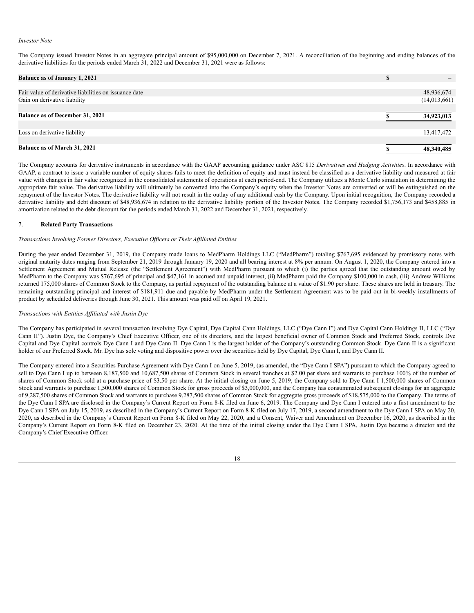#### *Investor Note*

The Company issued Investor Notes in an aggregate principal amount of \$95,000,000 on December 7, 2021. A reconciliation of the beginning and ending balances of the derivative liabilities for the periods ended March 31, 2022 and December 31, 2021 were as follows:

| <b>Balance as of January 1, 2021</b>                  | D |              |
|-------------------------------------------------------|---|--------------|
|                                                       |   |              |
| Fair value of derivative liabilities on issuance date |   | 48,936,674   |
| Gain on derivative liability                          |   | (14,013,661) |
|                                                       |   |              |
| <b>Balance as of December 31, 2021</b>                |   | 34,923,013   |
|                                                       |   |              |
| Loss on derivative liability                          |   | 13,417,472   |
|                                                       |   |              |
| Balance as of March 31, 2021                          |   | 48,340,485   |

The Company accounts for derivative instruments in accordance with the GAAP accounting guidance under ASC 815 *Derivatives and Hedging Activities*. In accordance with GAAP, a contract to issue a variable number of equity shares fails to meet the definition of equity and must instead be classified as a derivative liability and measured at fair value with changes in fair value recognized in the consolidated statements of operations at each period-end. The Company utilizes a Monte Carlo simulation in determining the appropriate fair value. The derivative liability will ultimately be converted into the Company's equity when the Investor Notes are converted or will be extinguished on the repayment of the Investor Notes. The derivative liability will not result in the outlay of any additional cash by the Company. Upon initial recognition, the Company recorded a derivative liability and debt discount of \$48,936,674 in relation to the derivative liability portion of the Investor Notes. The Company recorded \$1,756,173 and \$458,885 in amortization related to the debt discount for the periods ended March 31, 2022 and December 31, 2021, respectively.

### 7. **Related Party Transactions**

#### *Transactions Involving Former Directors, Executive Of icers or Their Af iliated Entities*

During the year ended December 31, 2019, the Company made loans to MedPharm Holdings LLC ("MedPharm") totaling \$767,695 evidenced by promissory notes with original maturity dates ranging from September 21, 2019 through January 19, 2020 and all bearing interest at 8% per annum. On August 1, 2020, the Company entered into a Settlement Agreement and Mutual Release (the "Settlement Agreement") with MedPharm pursuant to which (i) the parties agreed that the outstanding amount owed by MedPharm to the Company was \$767,695 of principal and \$47,161 in accrued and unpaid interest, (ii) MedPharm paid the Company \$100,000 in cash, (iii) Andrew Williams returned 175,000 shares of Common Stock to the Company, as partial repayment of the outstanding balance at a value of \$1.90 per share. These shares are held in treasury. The remaining outstanding principal and interest of \$181,911 due and payable by MedPharm under the Settlement Agreement was to be paid out in bi-weekly installments of product by scheduled deliveries through June 30, 2021. This amount was paid off on April 19, 2021.

### *Transactions with Entities Af iliated with Justin Dye*

The Company has participated in several transaction involving Dye Capital, Dye Capital Cann Holdings, LLC ("Dye Cann I") and Dye Capital Cann Holdings II, LLC ("Dye Cann II"). Justin Dye, the Company's Chief Executive Officer, one of its directors, and the largest beneficial owner of Common Stock and Preferred Stock, controls Dye Capital and Dye Capital controls Dye Cann I and Dye Cann II. Dye Cann I is the largest holder of the Company's outstanding Common Stock. Dye Cann II is a significant holder of our Preferred Stock. Mr. Dye has sole voting and dispositive power over the securities held by Dye Capital, Dye Cann I, and Dye Cann II.

The Company entered into a Securities Purchase Agreement with Dye Cann I on June 5, 2019, (as amended, the "Dye Cann I SPA") pursuant to which the Company agreed to sell to Dye Cann I up to between 8,187,500 and 10,687,500 shares of Common Stock in several tranches at \$2.00 per share and warrants to purchase 100% of the number of shares of Common Stock sold at a purchase price of \$3.50 per share. At the initial closing on June 5, 2019, the Company sold to Dye Cann I 1,500,000 shares of Common Stock and warrants to purchase 1,500,000 shares of Common Stock for gross proceeds of \$3,000,000, and the Company has consummated subsequent closings for an aggregate of 9,287,500 shares of Common Stock and warrants to purchase 9,287,500 shares of Common Stock for aggregate gross proceeds of \$18,575,000 to the Company. The terms of the Dye Cann I SPA are disclosed in the Company's Current Report on Form 8-K filed on June 6, 2019. The Company and Dye Cann I entered into a first amendment to the Dye Cann I SPA on July 15, 2019, as described in the Company's Current Report on Form 8-K filed on July 17, 2019, a second amendment to the Dye Cann I SPA on May 20, 2020, as described in the Company's Current Report on Form 8-K filed on May 22, 2020, and a Consent, Waiver and Amendment on December 16, 2020, as described in the Company's Current Report on Form 8-K filed on December 23, 2020. At the time of the initial closing under the Dye Cann I SPA, Justin Dye became a director and the Company's Chief Executive Officer.

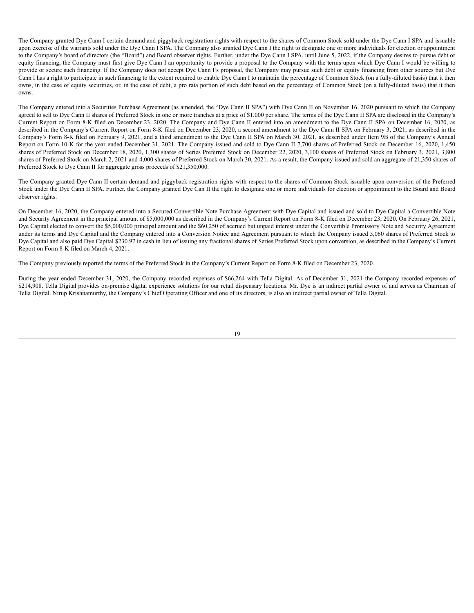The Company granted Dye Cann I certain demand and piggyback registration rights with respect to the shares of Common Stock sold under the Dye Cann I SPA and issuable upon exercise of the warrants sold under the Dye Cann I SPA. The Company also granted Dye Cann I the right to designate one or more individuals for election or appointment to the Company's board of directors (the "Board") and Board observer rights. Further, under the Dye Cann I SPA, until June 5, 2022, if the Company desires to pursue debt or equity financing, the Company must first give Dye Cann I an opportunity to provide a proposal to the Company with the terms upon which Dye Cann I would be willing to provide or secure such financing. If the Company does not accept Dye Cann I's proposal, the Company may pursue such debt or equity financing from other sources but Dye Cann I has a right to participate in such financing to the extent required to enable Dye Cann I to maintain the percentage of Common Stock (on a fully-diluted basis) that it then owns, in the case of equity securities, or, in the case of debt, a pro rata portion of such debt based on the percentage of Common Stock (on a fully-diluted basis) that it then owns.

The Company entered into a Securities Purchase Agreement (as amended, the "Dye Cann II SPA") with Dye Cann II on November 16, 2020 pursuant to which the Company agreed to sell to Dye Cann II shares of Preferred Stock in one or more tranches at a price of \$1,000 per share. The terms of the Dye Cann II SPA are disclosed in the Company's Current Report on Form 8-K filed on December 23, 2020. The Company and Dye Cann II entered into an amendment to the Dye Cann II SPA on December 16, 2020, as described in the Company's Current Report on Form 8-K filed on December 23, 2020, a second amendment to the Dye Cann II SPA on February 3, 2021, as described in the Company's Form 8-K filed on February 9, 2021, and a third amendment to the Dye Cann II SPA on March 30, 2021, as described under Item 9B of the Company's Annual Report on Form 10-K for the year ended December 31, 2021. The Company issued and sold to Dye Cann II 7,700 shares of Preferred Stock on December 16, 2020, 1,450 shares of Preferred Stock on December 18, 2020, 1,300 shares of Series Preferred Stock on December 22, 2020, 3,100 shares of Preferred Stock on February 3, 2021, 3,800 shares of Preferred Stock on March 2, 2021 and 4,000 shares of Preferred Stock on March 30, 2021. As a result, the Company issued and sold an aggregate of 21,350 shares of Preferred Stock to Dye Cann II for aggregate gross proceeds of \$21,350,000.

The Company granted Dye Cann II certain demand and piggyback registration rights with respect to the shares of Common Stock issuable upon conversion of the Preferred Stock under the Dye Cann II SPA. Further, the Company granted Dye Can II the right to designate one or more individuals for election or appointment to the Board and Board observer rights.

On December 16, 2020, the Company entered into a Secured Convertible Note Purchase Agreement with Dye Capital and issued and sold to Dye Capital a Convertible Note and Security Agreement in the principal amount of \$5,000,000 as described in the Company's Current Report on Form 8-K filed on December 23, 2020. On February 26, 2021, Dye Capital elected to convert the \$5,000,000 principal amount and the \$60,250 of accrued but unpaid interest under the Convertible Promissory Note and Security Agreement under its terms and Dye Capital and the Company entered into a Conversion Notice and Agreement pursuant to which the Company issued 5,060 shares of Preferred Stock to Dye Capital and also paid Dye Capital \$230.97 in cash in lieu of issuing any fractional shares of Series Preferred Stock upon conversion, as described in the Company's Current Report on Form 8-K filed on March 4, 2021.

The Company previously reported the terms of the Preferred Stock in the Company's Current Report on Form 8-K filed on December 23, 2020.

During the year ended December 31, 2020, the Company recorded expenses of \$66,264 with Tella Digital. As of December 31, 2021 the Company recorded expenses of \$214,908. Tella Digital provides on-premise digital experience solutions for our retail dispensary locations. Mr. Dye is an indirect partial owner of and serves as Chairman of Tella Digital. Nirup Krishnamurthy, the Company's Chief Operating Officer and one of its directors, is also an indirect partial owner of Tella Digital.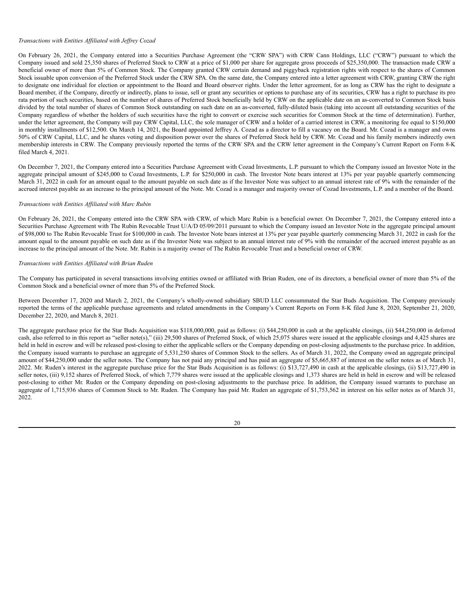### *Transactions with Entities Af iliated with Jef rey Cozad*

On February 26, 2021, the Company entered into a Securities Purchase Agreement (the "CRW SPA") with CRW Cann Holdings, LLC ("CRW") pursuant to which the Company issued and sold 25,350 shares of Preferred Stock to CRW at a price of \$1,000 per share for aggregate gross proceeds of \$25,350,000. The transaction made CRW a beneficial owner of more than 5% of Common Stock. The Company granted CRW certain demand and piggyback registration rights with respect to the shares of Common Stock issuable upon conversion of the Preferred Stock under the CRW SPA. On the same date, the Company entered into a letter agreement with CRW, granting CRW the right to designate one individual for election or appointment to the Board and Board observer rights. Under the letter agreement, for as long as CRW has the right to designate a Board member, if the Company, directly or indirectly, plans to issue, sell or grant any securities or options to purchase any of its securities, CRW has a right to purchase its pro rata portion of such securities, based on the number of shares of Preferred Stock beneficially held by CRW on the applicable date on an as-converted to Common Stock basis divided by the total number of shares of Common Stock outstanding on such date on an as-converted, fully-diluted basis (taking into account all outstanding securities of the Company regardless of whether the holders of such securities have the right to convert or exercise such securities for Common Stock at the time of determination). Further, under the letter agreement, the Company will pay CRW Capital, LLC, the sole manager of CRW and a holder of a carried interest in CRW, a monitoring fee equal to \$150,000 in monthly installments of \$12,500. On March 14, 2021, the Board appointed Jeffrey A. Cozad as a director to fill a vacancy on the Board. Mr. Cozad is a manager and owns 50% of CRW Capital, LLC, and he shares voting and disposition power over the shares of Preferred Stock held by CRW. Mr. Cozad and his family members indirectly own membership interests in CRW. The Company previously reported the terms of the CRW SPA and the CRW letter agreement in the Company's Current Report on Form 8-K filed March 4, 2021.

On December 7, 2021, the Company entered into a Securities Purchase Agreement with Cozad Investments, L.P. pursuant to which the Company issued an Investor Note in the aggregate principal amount of \$245,000 to Cozad Investments, L.P. for \$250,000 in cash. The Investor Note bears interest at 13% per year payable quarterly commencing March 31, 2022 in cash for an amount equal to the amount payable on such date as if the Investor Note was subject to an annual interest rate of 9% with the remainder of the accrued interest payable as an increase to the principal amount of the Note. Mr. Cozad is a manager and majority owner of Cozad Investments, L.P. and a member of the Board.

### *Transactions with Entities Af iliated with Marc Rubin*

On February 26, 2021, the Company entered into the CRW SPA with CRW, of which Marc Rubin is a beneficial owner. On December 7, 2021, the Company entered into a Securities Purchase Agreement with The Rubin Revocable Trust U/A/D 05/09/2011 pursuant to which the Company issued an Investor Note in the aggregate principal amount of \$98,000 to The Rubin Revocable Trust for \$100,000 in cash. The Investor Note bears interest at 13% per year payable quarterly commencing March 31, 2022 in cash for the amount equal to the amount payable on such date as if the Investor Note was subject to an annual interest rate of 9% with the remainder of the accrued interest payable as an increase to the principal amount of the Note. Mr. Rubin is a majority owner of The Rubin Revocable Trust and a beneficial owner of CRW.

### *Transactions with Entities Af iliated with Brian Ruden*

The Company has participated in several transactions involving entities owned or affiliated with Brian Ruden, one of its directors, a beneficial owner of more than 5% of the Common Stock and a beneficial owner of more than 5% of the Preferred Stock.

Between December 17, 2020 and March 2, 2021, the Company's wholly-owned subsidiary SBUD LLC consummated the Star Buds Acquisition. The Company previously reported the terms of the applicable purchase agreements and related amendments in the Company's Current Reports on Form 8-K filed June 8, 2020, September 21, 2020, December 22, 2020, and March 8, 2021.

The aggregate purchase price for the Star Buds Acquisition was \$118,000,000, paid as follows: (i) \$44,250,000 in cash at the applicable closings, (ii) \$44,250,000 in deferred cash, also referred to in this report as "seller note(s)," (iii) 29,500 shares of Preferred Stock, of which 25,075 shares were issued at the applicable closings and 4,425 shares are held in held in escrow and will be released post-closing to either the applicable sellers or the Company depending on post-closing adjustments to the purchase price. In addition, the Company issued warrants to purchase an aggregate of 5,531,250 shares of Common Stock to the sellers. As of March 31, 2022, the Company owed an aggregate principal amount of \$44,250,000 under the seller notes. The Company has not paid any principal and has paid an aggregate of \$5,665,887 of interest on the seller notes as of March 31, 2022. Mr. Ruden's interest in the aggregate purchase price for the Star Buds Acquisition is as follows: (i) \$13,727,490 in cash at the applicable closings, (ii) \$13,727,490 in seller notes, (iii) 9,152 shares of Preferred Stock, of which 7,779 shares were issued at the applicable closings and 1,373 shares are held in held in escrow and will be released post-closing to either Mr. Ruden or the Company depending on post-closing adjustments to the purchase price. In addition, the Company issued warrants to purchase an aggregate of 1,715,936 shares of Common Stock to Mr. Ruden. The Company has paid Mr. Ruden an aggregate of \$1,753,562 in interest on his seller notes as of March 31, 2022.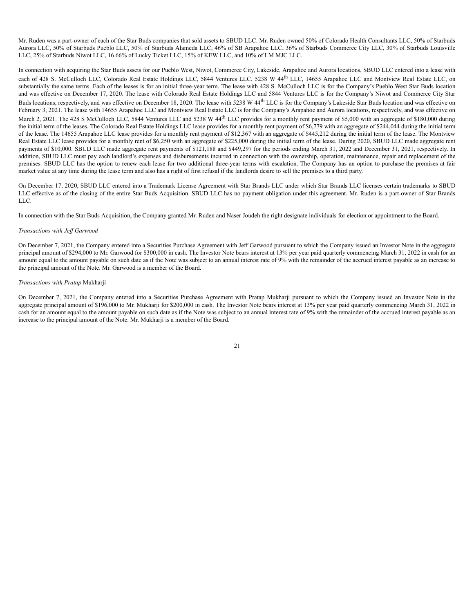Mr. Ruden was a part-owner of each of the Star Buds companies that sold assets to SBUD LLC. Mr. Ruden owned 50% of Colorado Health Consultants LLC, 50% of Starbuds Aurora LLC, 50% of Starbuds Pueblo LLC, 50% of Starbuds Alameda LLC, 46% of SB Arapahoe LLC, 36% of Starbuds Commerce City LLC, 30% of Starbuds Louisville LLC, 25% of Starbuds Niwot LLC, 16.66% of Lucky Ticket LLC, 15% of KEW LLC, and 10% of LM MJC LLC.

In connection with acquiring the Star Buds assets for our Pueblo West, Niwot, Commerce City, Lakeside, Arapahoe and Aurora locations, SBUD LLC entered into a lease with each of 428 S. McCulloch LLC, Colorado Real Estate Holdings LLC, 5844 Ventures LLC, 5238 W 44<sup>th</sup> LLC, 14655 Arapahoe LLC and Montview Real Estate LLC, on substantially the same terms. Each of the leases is for an initial three-year term. The lease with 428 S. McCulloch LLC is for the Company's Pueblo West Star Buds location and was effective on December 17, 2020. The lease with Colorado Real Estate Holdings LLC and 5844 Ventures LLC is for the Company's Niwot and Commerce City Star Buds locations, respectively, and was effective on December 18, 2020. The lease with 5238 W 44<sup>th</sup> LLC is for the Company's Lakeside Star Buds location and was effective on February 3, 2021. The lease with 14655 Arapahoe LLC and Montview Real Estate LLC is for the Company's Arapahoe and Aurora locations, respectively, and was effective on March 2, 2021. The 428 S McCulloch LLC, 5844 Ventures LLC and 5238 W 44<sup>th</sup> LLC provides for a monthly rent payment of \$5,000 with an aggregate of \$180,000 during the initial term of the leases. The Colorado Real Estate Holdings LLC lease provides for a monthly rent payment of \$6,779 with an aggregate of \$244,044 during the initial term of the lease. The 14655 Arapahoe LLC lease provides for a monthly rent payment of \$12,367 with an aggregate of \$445,212 during the initial term of the lease. The Montview Real Estate LLC lease provides for a monthly rent of \$6,250 with an aggregate of \$225,000 during the initial term of the lease. During 2020, SBUD LLC made aggregate rent payments of \$10,000. SBUD LLC made aggregate rent payments of \$121,188 and \$449,297 for the periods ending March 31, 2022 and December 31, 2021, respectively. In addition, SBUD LLC must pay each landlord's expenses and disbursements incurred in connection with the ownership, operation, maintenance, repair and replacement of the premises. SBUD LLC has the option to renew each lease for two additional three-year terms with escalation. The Company has an option to purchase the premises at fair market value at any time during the lease term and also has a right of first refusal if the landlords desire to sell the premises to a third party.

On December 17, 2020, SBUD LLC entered into a Trademark License Agreement with Star Brands LLC under which Star Brands LLC licenses certain trademarks to SBUD LLC effective as of the closing of the entire Star Buds Acquisition. SBUD LLC has no payment obligation under this agreement. Mr. Ruden is a part-owner of Star Brands LLC.

In connection with the Star Buds Acquisition, the Company granted Mr. Ruden and Naser Joudeh the right designate individuals for election or appointment to the Board.

### *Transactions with Jef Garwood*

On December 7, 2021, the Company entered into a Securities Purchase Agreement with Jeff Garwood pursuant to which the Company issued an Investor Note in the aggregate principal amount of \$294,000 to Mr. Garwood for \$300,000 in cash. The Investor Note bears interest at 13% per year paid quarterly commencing March 31, 2022 in cash for an amount equal to the amount payable on such date as if the Note was subject to an annual interest rate of 9% with the remainder of the accrued interest payable as an increase to the principal amount of the Note. Mr. Garwood is a member of the Board.

### *Transactions with Pratap* Mukharji

On December 7, 2021, the Company entered into a Securities Purchase Agreement with Pratap Mukharji pursuant to which the Company issued an Investor Note in the aggregate principal amount of \$196,000 to Mr. Mukharji for \$200,000 in cash. The Investor Note bears interest at 13% per year paid quarterly commencing March 31, 2022 in cash for an amount equal to the amount payable on such date as if the Note was subject to an annual interest rate of 9% with the remainder of the accrued interest payable as an increase to the principal amount of the Note. Mr. Mukharji is a member of the Board.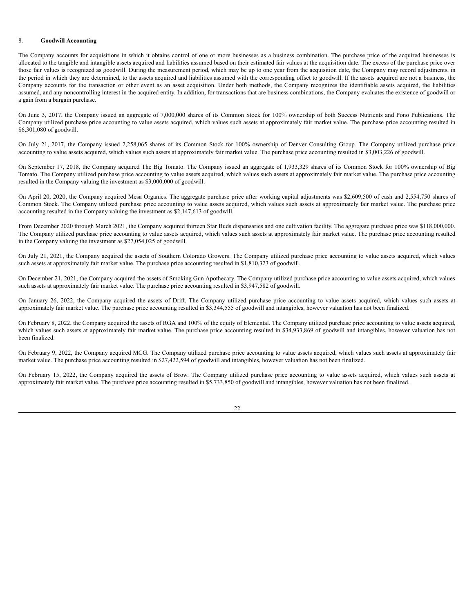### 8. **Goodwill Accounting**

The Company accounts for acquisitions in which it obtains control of one or more businesses as a business combination. The purchase price of the acquired businesses is allocated to the tangible and intangible assets acquired and liabilities assumed based on their estimated fair values at the acquisition date. The excess of the purchase price over those fair values is recognized as goodwill. During the measurement period, which may be up to one year from the acquisition date, the Company may record adjustments, in the period in which they are determined, to the assets acquired and liabilities assumed with the corresponding offset to goodwill. If the assets acquired are not a business, the Company accounts for the transaction or other event as an asset acquisition. Under both methods, the Company recognizes the identifiable assets acquired, the liabilities assumed, and any noncontrolling interest in the acquired entity. In addition, for transactions that are business combinations, the Company evaluates the existence of goodwill or a gain from a bargain purchase.

On June 3, 2017, the Company issued an aggregate of 7,000,000 shares of its Common Stock for 100% ownership of both Success Nutrients and Pono Publications. The Company utilized purchase price accounting to value assets acquired, which values such assets at approximately fair market value. The purchase price accounting resulted in \$6,301,080 of goodwill.

On July 21, 2017, the Company issued 2,258,065 shares of its Common Stock for 100% ownership of Denver Consulting Group. The Company utilized purchase price accounting to value assets acquired, which values such assets at approximately fair market value. The purchase price accounting resulted in \$3,003,226 of goodwill.

On September 17, 2018, the Company acquired The Big Tomato. The Company issued an aggregate of 1,933,329 shares of its Common Stock for 100% ownership of Big Tomato. The Company utilized purchase price accounting to value assets acquired, which values such assets at approximately fair market value. The purchase price accounting resulted in the Company valuing the investment as \$3,000,000 of goodwill.

On April 20, 2020, the Company acquired Mesa Organics. The aggregate purchase price after working capital adjustments was \$2,609,500 of cash and 2,554,750 shares of Common Stock. The Company utilized purchase price accounting to value assets acquired, which values such assets at approximately fair market value. The purchase price accounting resulted in the Company valuing the investment as \$2,147,613 of goodwill.

From December 2020 through March 2021, the Company acquired thirteen Star Buds dispensaries and one cultivation facility. The aggregate purchase price was \$118,000,000. The Company utilized purchase price accounting to value assets acquired, which values such assets at approximately fair market value. The purchase price accounting resulted in the Company valuing the investment as \$27,054,025 of goodwill.

On July 21, 2021, the Company acquired the assets of Southern Colorado Growers. The Company utilized purchase price accounting to value assets acquired, which values such assets at approximately fair market value. The purchase price accounting resulted in \$1,810,323 of goodwill.

On December 21, 2021, the Company acquired the assets of Smoking Gun Apothecary. The Company utilized purchase price accounting to value assets acquired, which values such assets at approximately fair market value. The purchase price accounting resulted in \$3,947,582 of goodwill.

On January 26, 2022, the Company acquired the assets of Drift. The Company utilized purchase price accounting to value assets acquired, which values such assets at approximately fair market value. The purchase price accounting resulted in \$3,344,555 of goodwill and intangibles, however valuation has not been finalized.

On February 8, 2022, the Company acquired the assets of RGA and 100% of the equity of Elemental. The Company utilized purchase price accounting to value assets acquired, which values such assets at approximately fair market value. The purchase price accounting resulted in \$34,933,869 of goodwill and intangibles, however valuation has not been finalized.

On February 9, 2022, the Company acquired MCG. The Company utilized purchase price accounting to value assets acquired, which values such assets at approximately fair market value. The purchase price accounting resulted in \$27,422,594 of goodwill and intangibles, however valuation has not been finalized.

On February 15, 2022, the Company acquired the assets of Brow. The Company utilized purchase price accounting to value assets acquired, which values such assets at approximately fair market value. The purchase price accounting resulted in \$5,733,850 of goodwill and intangibles, however valuation has not been finalized.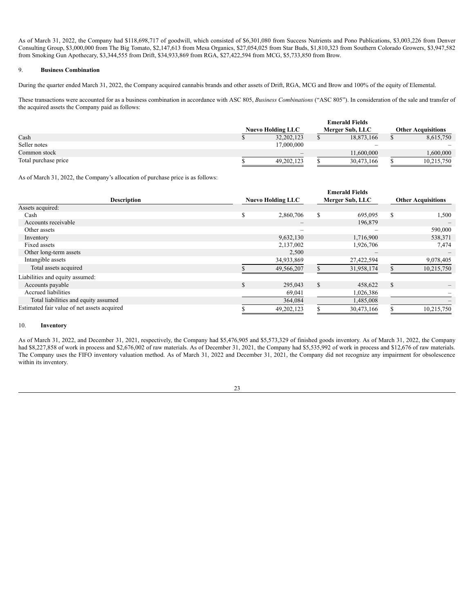As of March 31, 2022, the Company had \$118,698,717 of goodwill, which consisted of \$6,301,080 from Success Nutrients and Pono Publications, \$3,003,226 from Denver Consulting Group, \$3,000,000 from The Big Tomato, \$2,147,613 from Mesa Organics, \$27,054,025 from Star Buds, \$1,810,323 from Southern Colorado Growers, \$3,947,582 from Smoking Gun Apothecary, \$3,344,555 from Drift, \$34,933,869 from RGA, \$27,422,594 from MCG, \$5,733,850 from Brow.

# 9. **Business Combination**

During the quarter ended March 31, 2022, the Company acquired cannabis brands and other assets of Drift, RGA, MCG and Brow and 100% of the equity of Elemental.

These transactions were accounted for as a business combination in accordance with ASC 805, *Business Combinations* ("ASC 805"). In consideration of the sale and transfer of the acquired assets the Company paid as follows:

|                      |                          | <b>Emerald Fields</b>    |                           |
|----------------------|--------------------------|--------------------------|---------------------------|
|                      | <b>Nuevo Holding LLC</b> | Merger Sub, LLC          | <b>Other Acquisitions</b> |
| Cash                 | 32,202,123               | 18,873,166               | 8,615,750                 |
| Seller notes         | 17,000,000               | $\overline{\phantom{0}}$ | $\overline{\phantom{a}}$  |
| Common stock         |                          | 11.600.000               | .600.000                  |
| Total purchase price | 49,202,123               | 30,473,166               | 10,215,750                |

As of March 31, 2022, the Company's allocation of purchase price is as follows:

|                                             | <b>Emerald Fields</b> |                          |                 |                              |                           |            |  |  |
|---------------------------------------------|-----------------------|--------------------------|-----------------|------------------------------|---------------------------|------------|--|--|
| <b>Description</b>                          |                       | <b>Nuevo Holding LLC</b> | Merger Sub, LLC |                              | <b>Other Acquisitions</b> |            |  |  |
| Assets acquired:                            |                       |                          |                 |                              |                           |            |  |  |
| Cash                                        | S                     | 2,860,706                | S               | 695,095                      | \$.                       | 1,500      |  |  |
| Accounts receivable                         |                       |                          |                 | 196,879                      |                           |            |  |  |
| Other assets                                |                       | $\overline{\phantom{0}}$ |                 |                              |                           | 590,000    |  |  |
| Inventory                                   |                       | 9,632,130                |                 | 1,716,900                    |                           | 538,371    |  |  |
| Fixed assets                                |                       | 2,137,002                |                 | 1,926,706                    |                           | 7,474      |  |  |
| Other long-term assets                      |                       | 2,500                    |                 | $\qquad \qquad \blacksquare$ |                           |            |  |  |
| Intangible assets                           |                       | 34,933,869               |                 | 27,422,594                   |                           | 9,078,405  |  |  |
| Total assets acquired                       |                       | 49,566,207               |                 | 31,958,174                   |                           | 10,215,750 |  |  |
| Liabilities and equity assumed:             |                       |                          |                 |                              |                           |            |  |  |
| Accounts payable                            | $\mathcal{S}$         | 295,043                  | S               | 458,622                      | $\mathbb{S}$              |            |  |  |
| Accrued liabilities                         |                       | 69,041                   |                 | 1,026,386                    |                           |            |  |  |
| Total liabilities and equity assumed        |                       | 364,084                  |                 | 1,485,008                    |                           |            |  |  |
| Estimated fair value of net assets acquired |                       | 49,202,123               |                 | 30,473,166                   |                           | 10,215,750 |  |  |

# 10. **Inventory**

As of March 31, 2022, and December 31, 2021, respectively, the Company had \$5,476,905 and \$5,573,329 of finished goods inventory. As of March 31, 2022, the Company had \$8,227,858 of work in process and \$2,676,002 of raw materials. As of December 31, 2021, the Company had \$5,535,992 of work in process and \$12,676 of raw materials. The Company uses the FIFO inventory valuation method. As of March 31, 2022 and December 31, 2021, the Company did not recognize any impairment for obsolescence within its inventory.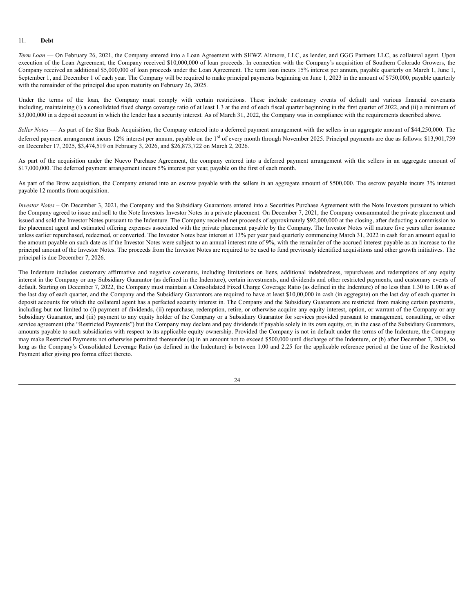#### 11. **Debt**

*Term Loan* — On February 26, 2021, the Company entered into a Loan Agreement with SHWZ Altmore, LLC, as lender, and GGG Partners LLC, as collateral agent. Upon execution of the Loan Agreement, the Company received \$10,000,000 of loan proceeds. In connection with the Company's acquisition of Southern Colorado Growers, the Company received an additional \$5,000,000 of loan proceeds under the Loan Agreement. The term loan incurs 15% interest per annum, payable quarterly on March 1, June 1, September 1, and December 1 of each year. The Company will be required to make principal payments beginning on June 1, 2023 in the amount of \$750,000, payable quarterly with the remainder of the principal due upon maturity on February 26, 2025.

Under the terms of the loan, the Company must comply with certain restrictions. These include customary events of default and various financial covenants including, maintaining (i) a consolidated fixed charge coverage ratio of at least 1.3 at the end of each fiscal quarter beginning in the first quarter of 2022, and (ii) a minimum of \$3,000,000 in a deposit account in which the lender has a security interest. As of March 31, 2022, the Company was in compliance with the requirements described above.

*Seller Notes* — As part of the Star Buds Acquisition, the Company entered into a deferred payment arrangement with the sellers in an aggregate amount of \$44,250,000. The deferred payment arrangement incurs 12% interest per annum, payable on the 1<sup>st</sup> of every month through November 2025. Principal payments are due as follows: \$13,901,759 on December 17, 2025, \$3,474,519 on February 3, 2026, and \$26,873,722 on March 2, 2026.

As part of the acquisition under the Nuevo Purchase Agreement, the company entered into a deferred payment arrangement with the sellers in an aggregate amount of \$17,000,000. The deferred payment arrangement incurs 5% interest per year, payable on the first of each month.

As part of the Brow acquisition, the Company entered into an escrow payable with the sellers in an aggregate amount of \$500,000. The escrow payable incurs 3% interest payable 12 months from acquisition.

*Investor Notes* – On December 3, 2021, the Company and the Subsidiary Guarantors entered into a Securities Purchase Agreement with the Note Investors pursuant to which the Company agreed to issue and sell to the Note Investors Investor Notes in a private placement. On December 7, 2021, the Company consummated the private placement and issued and sold the Investor Notes pursuant to the Indenture. The Company received net proceeds of approximately \$92,000,000 at the closing, after deducting a commission to the placement agent and estimated offering expenses associated with the private placement payable by the Company. The Investor Notes will mature five years after issuance unless earlier repurchased, redeemed, or converted. The Investor Notes bear interest at 13% per year paid quarterly commencing March 31, 2022 in cash for an amount equal to the amount payable on such date as if the Investor Notes were subject to an annual interest rate of 9%, with the remainder of the accrued interest payable as an increase to the principal amount of the Investor Notes. The proceeds from the Investor Notes are required to be used to fund previously identified acquisitions and other growth initiatives. The principal is due December 7, 2026.

The Indenture includes customary affirmative and negative covenants, including limitations on liens, additional indebtedness, repurchases and redemptions of any equity interest in the Company or any Subsidiary Guarantor (as defined in the Indenture), certain investments, and dividends and other restricted payments, and customary events of default. Starting on December 7, 2022, the Company must maintain a Consolidated Fixed Charge Coverage Ratio (as defined in the Indenture) of no less than 1.30 to 1.00 as of the last day of each quarter, and the Company and the Subsidiary Guarantors are required to have at least \$10,00,000 in cash (in aggregate) on the last day of each quarter in deposit accounts for which the collateral agent has a perfected security interest in. The Company and the Subsidiary Guarantors are restricted from making certain payments, including but not limited to (i) payment of dividends, (ii) repurchase, redemption, retire, or otherwise acquire any equity interest, option, or warrant of the Company or any Subsidiary Guarantor, and (iii) payment to any equity holder of the Company or a Subsidiary Guarantor for services provided pursuant to management, consulting, or other service agreement (the "Restricted Payments") but the Company may declare and pay dividends if payable solely in its own equity, or, in the case of the Subsidiary Guarantors, amounts payable to such subsidiaries with respect to its applicable equity ownership. Provided the Company is not in default under the terms of the Indenture, the Company may make Restricted Payments not otherwise permitted thereunder (a) in an amount not to exceed \$500,000 until discharge of the Indenture, or (b) after December 7, 2024, so long as the Company's Consolidated Leverage Ratio (as defined in the Indenture) is between 1.00 and 2.25 for the applicable reference period at the time of the Restricted Payment after giving pro forma effect thereto.

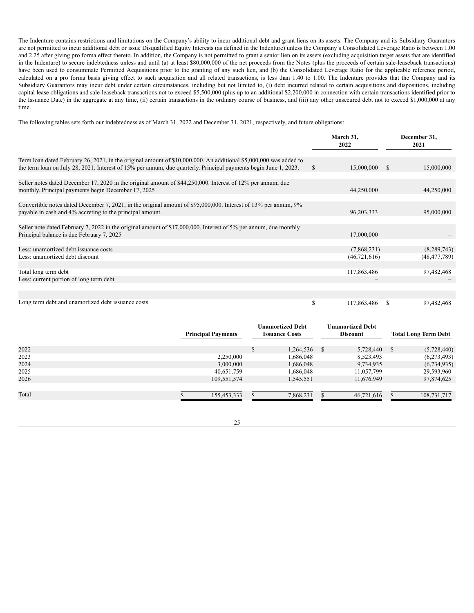The Indenture contains restrictions and limitations on the Company's ability to incur additional debt and grant liens on its assets. The Company and its Subsidiary Guarantors are not permitted to incur additional debt or issue Disqualified Equity Interests (as defined in the Indenture) unless the Company's Consolidated Leverage Ratio is between 1.00 and 2.25 after giving pro forma effect thereto. In addition, the Company is not permitted to grant a senior lien on its assets (excluding acquisition target assets that are identified in the Indenture) to secure indebtedness unless and until (a) at least \$80,000,000 of the net proceeds from the Notes (plus the proceeds of certain sale-leaseback transactions) have been used to consummate Permitted Acquisitions prior to the granting of any such lien, and (b) the Consolidated Leverage Ratio for the applicable reference period, calculated on a pro forma basis giving effect to such acquisition and all related transactions, is less than 1.40 to 1.00. The Indenture provides that the Company and its Subsidiary Guarantors may incur debt under certain circumstances, including but not limited to, (i) debt incurred related to certain acquisitions and dispositions, including capital lease obligations and sale-leaseback transactions not to exceed \$5,500,000 (plus up to an additional \$2,200,000 in connection with certain transactions identified prior to the Issuance Date) in the aggregate at any time, (ii) certain transactions in the ordinary course of business, and (iii) any other unsecured debt not to exceed \$1,000,000 at any time.

The following tables sets forth our indebtedness as of March 31, 2022 and December 31, 2021, respectively, and future obligations:

|                                                                                                                                                                                                                                       |               | March 31,<br>2022             |               | December 31,<br>2021          |
|---------------------------------------------------------------------------------------------------------------------------------------------------------------------------------------------------------------------------------------|---------------|-------------------------------|---------------|-------------------------------|
| Term loan dated February 26, 2021, in the original amount of \$10,000,000. An additional \$5,000,000 was added to<br>the term loan on July 28, 2021. Interest of 15% per annum, due quarterly. Principal payments begin June 1, 2023. | <sup>\$</sup> | 15,000,000                    | <sup>\$</sup> | 15,000,000                    |
| Seller notes dated December 17, 2020 in the original amount of \$44,250,000. Interest of 12% per annum, due<br>monthly. Principal payments begin December 17, 2025                                                                    |               | 44,250,000                    |               | 44,250,000                    |
| Convertible notes dated December 7, 2021, in the original amount of \$95,000,000. Interest of 13% per annum, 9%<br>payable in cash and 4% accreting to the principal amount.                                                          |               | 96,203,333                    |               | 95,000,000                    |
| Seller note dated February 7, 2022 in the original amount of \$17,000,000. Interest of 5% per annum, due monthly.<br>Principal balance is due February 7, 2025                                                                        |               | 17,000,000                    |               |                               |
| Less: unamortized debt issuance costs<br>Less: unamortized debt discount                                                                                                                                                              |               | (7,868,231)<br>(46, 721, 616) |               | (8,289,743)<br>(48, 477, 789) |
| Total long term debt<br>Less: current portion of long term debt                                                                                                                                                                       |               | 117,863,486                   |               | 97,482,468                    |
| Long term debt and unamortized debt issuance costs                                                                                                                                                                                    |               | 117,863,486                   |               | 97,482,468                    |

|       | <b>Principal Payments</b> | <b>Unamortized Debt</b><br><b>Issuance Costs</b> |          | <b>Unamortized Debt</b><br>Discount |   | <b>Total Long Term Debt</b> |
|-------|---------------------------|--------------------------------------------------|----------|-------------------------------------|---|-----------------------------|
| 2022  |                           | 1,264,536                                        | <b>S</b> | 5,728,440                           | S | (5,728,440)                 |
| 2023  | 2,250,000                 | 1,686,048                                        |          | 8,523,493                           |   | (6,273,493)                 |
| 2024  | 3,000,000                 | 1,686,048                                        |          | 9,734,935                           |   | (6,734,935)                 |
| 2025  | 40,651,759                | 1,686,048                                        |          | 11,057,799                          |   | 29,593,960                  |
| 2026  | 109,551,574               | 1,545,551                                        |          | 11,676,949                          |   | 97,874,625                  |
|       |                           |                                                  |          |                                     |   |                             |
| Total | 155.453.333               | 7.868.231                                        |          | 46.721.616                          |   | 108,731,717                 |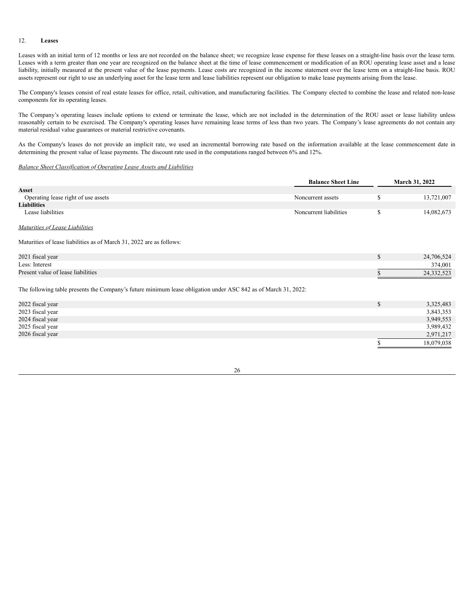# 12. **Leases**

Leases with an initial term of 12 months or less are not recorded on the balance sheet; we recognize lease expense for these leases on a straight-line basis over the lease term. Leases with a term greater than one year are recognized on the balance sheet at the time of lease commencement or modification of an ROU operating lease asset and a lease liability, initially measured at the present value of the lease payments. Lease costs are recognized in the income statement over the lease term on a straight-line basis. ROU assets represent our right to use an underlying asset for the lease term and lease liabilities represent our obligation to make lease payments arising from the lease.

The Company's leases consist of real estate leases for office, retail, cultivation, and manufacturing facilities. The Company elected to combine the lease and related non-lease components for its operating leases.

The Company's operating leases include options to extend or terminate the lease, which are not included in the determination of the ROU asset or lease liability unless reasonably certain to be exercised. The Company's operating leases have remaining lease terms of less than two years. The Company's lease agreements do not contain any material residual value guarantees or material restrictive covenants.

As the Company's leases do not provide an implicit rate, we used an incremental borrowing rate based on the information available at the lease commencement date in determining the present value of lease payments. The discount rate used in the computations ranged between 6% and 12%.

### *Balance Sheet Classification of Operating Lease Assets and Liabilities*

|                                                                                                                | <b>Balance Sheet Line</b> |              | March 31, 2022 |
|----------------------------------------------------------------------------------------------------------------|---------------------------|--------------|----------------|
| <b>Asset</b>                                                                                                   |                           |              |                |
| Operating lease right of use assets                                                                            | Noncurrent assets         | \$           | 13,721,007     |
| <b>Liabilities</b>                                                                                             |                           |              |                |
| Lease liabilities                                                                                              | Noncurrent liabilities    | \$           | 14,082,673     |
| Maturities of Lease Liabilities                                                                                |                           |              |                |
| Maturities of lease liabilities as of March 31, 2022 are as follows:                                           |                           |              |                |
| 2021 fiscal year                                                                                               |                           | $\mathbb{S}$ | 24,706,524     |
| Less: Interest                                                                                                 |                           |              | 374,001        |
| Present value of lease liabilities                                                                             |                           |              | 24,332,523     |
| The following table presents the Company's future minimum lease obligation under ASC 842 as of March 31, 2022: |                           |              |                |
| 2022 fiscal year                                                                                               |                           | $\mathbb{S}$ | 3,325,483      |
| 2023 fiscal year                                                                                               |                           |              | 3,843,353      |
| 2024 fiscal year                                                                                               |                           |              | 3,949,553      |
| 2025 fiscal year                                                                                               |                           |              | 3,989,432      |
| 2026 fiscal year                                                                                               |                           |              | 2,971,217      |
|                                                                                                                |                           |              | 18,079,038     |

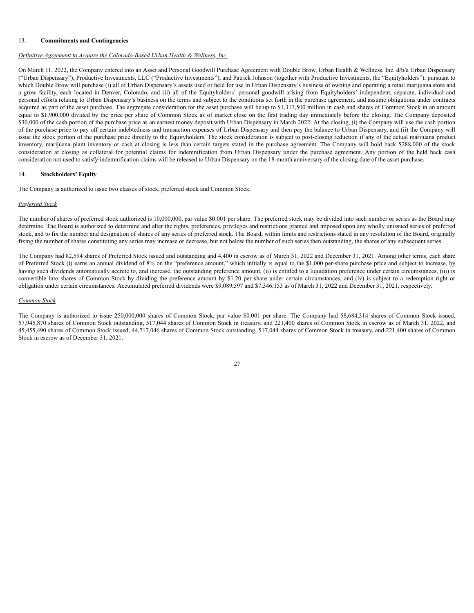### 13. **Commitments and Contingencies**

# *Definitive Agreement to Acquire the Colorado-Based Urban Health & Wellness, Inc.*

On March 11, 2022, the Company entered into an Asset and Personal Goodwill Purchase Agreement with Double Brow, Urban Health & Wellness, Inc. d/b/a Urban Dispensary ("Urban Dispensary"), Productive Investments, LLC ("Productive Investments"), and Patrick Johnson (together with Productive Investments, the "Equityholders"), pursuant to which Double Brow will purchase (i) all of Urban Dispensary's assets used or held for use in Urban Dispensary's business of owning and operating a retail marijuana store and a grow facility, each located in Denver, Colorado, and (ii) all of the Equityholders' personal goodwill arising from Equityholders' independent, separate, individual and personal efforts relating to Urban Dispensary's business on the terms and subject to the conditions set forth in the purchase agreement, and assume obligations under contracts acquired as part of the asset purchase. The aggregate consideration for the asset purchase will be up to \$1,317,500 million in cash and shares of Common Stock in an amount equal to \$1,900,000 divided by the price per share of Common Stock as of market close on the first trading day immediately before the closing. The Company deposited \$30,000 of the cash portion of the purchase price as an earnest money deposit with Urban Dispensary in March 2022. At the closing, (i) the Company will use the cash portion of the purchase price to pay off certain indebtedness and transaction expenses of Urban Dispensary and then pay the balance to Urban Dispensary, and (ii) the Company will issue the stock portion of the purchase price directly to the Equityholders. The stock consideration is subject to post-closing reduction if any of the actual marijuana product inventory, marijuana plant inventory or cash at closing is less than certain targets stated in the purchase agreement. The Company will hold back \$288,000 of the stock consideration at closing as collateral for potential claims for indemnification from Urban Dispensary under the purchase agreement. Any portion of the held back cash consideration not used to satisfy indemnification claims will be released to Urban Dispensary on the 18-month anniversary of the closing date of the asset purchase.

### 14. **Stockholders' Equity**

The Company is authorized to issue two classes of stock, preferred stock and Common Stock.

### *Preferred Stock*

The number of shares of preferred stock authorized is 10,000,000, par value \$0.001 per share. The preferred stock may be divided into such number or series as the Board may determine. The Board is authorized to determine and alter the rights, preferences, privileges and restrictions granted and imposed upon any wholly unissued series of preferred stock, and to fix the number and designation of shares of any series of preferred stock. The Board, within limits and restrictions stated in any resolution of the Board, originally fixing the number of shares constituting any series may increase or decrease, but not below the number of such series then outstanding, the shares of any subsequent series.

The Company had 82,594 shares of Preferred Stock issued and outstanding and 4,400 in escrow as of March 31, 2022 and December 31, 2021. Among other terms, each share of Preferred Stock (i) earns an annual dividend of 8% on the "preference amount," which initially is equal to the \$1,000 per-share purchase price and subject to increase, by having such dividends automatically accrete to, and increase, the outstanding preference amount, (ii) is entitled to a liquidation preference under certain circumstances, (iii) is convertible into shares of Common Stock by dividing the preference amount by \$1.20 per share under certain circumstances, and (iv) is subject to a redemption right or obligation under certain circumstances. Accumulated preferred dividends were \$9,089,597 and \$7,346,153 as of March 31, 2022 and December 31, 2021, respectively.

#### *Common Stock*

The Company is authorized to issue 250,000,000 shares of Common Stock, par value \$0.001 per share. The Company had 58,684,314 shares of Common Stock issued, 57,945,870 shares of Common Stock outstanding, 517,044 shares of Common Stock in treasury, and 221,400 shares of Common Stock in escrow as of March 31, 2022, and 45,455,490 shares of Common Stock issued, 44,717,046 shares of Common Stock outstanding, 517,044 shares of Common Stock in treasury, and 221,400 shares of Common Stock in escrow as of December 31, 2021.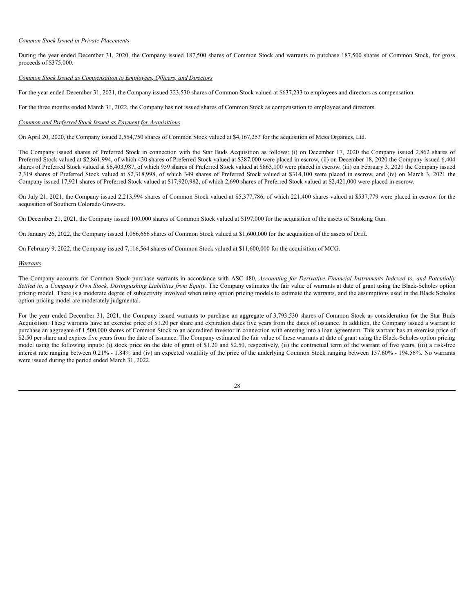### *Common Stock Issued in Private Placements*

During the year ended December 31, 2020, the Company issued 187,500 shares of Common Stock and warrants to purchase 187,500 shares of Common Stock, for gross proceeds of \$375,000.

### *Common Stock Issued as Compensation to Employees, Of icers, and Directors*

For the year ended December 31, 2021, the Company issued 323,530 shares of Common Stock valued at \$637,233 to employees and directors as compensation.

For the three months ended March 31, 2022, the Company has not issued shares of Common Stock as compensation to employees and directors.

### *Common and Preferred Stock Issued as Payment for Acquisitions*

On April 20, 2020, the Company issued 2,554,750 shares of Common Stock valued at \$4,167,253 for the acquisition of Mesa Organics, Ltd.

The Company issued shares of Preferred Stock in connection with the Star Buds Acquisition as follows: (i) on December 17, 2020 the Company issued 2,862 shares of Preferred Stock valued at \$2,861,994, of which 430 shares of Preferred Stock valued at \$387,000 were placed in escrow, (ii) on December 18, 2020 the Company issued 6,404 shares of Preferred Stock valued at \$6,403,987, of which 959 shares of Preferred Stock valued at \$863,100 were placed in escrow, (iii) on February 3, 2021 the Company issued 2,319 shares of Preferred Stock valued at \$2,318,998, of which 349 shares of Preferred Stock valued at \$314,100 were placed in escrow, and (iv) on March 3, 2021 the Company issued 17,921 shares of Preferred Stock valued at \$17,920,982, of which 2,690 shares of Preferred Stock valued at \$2,421,000 were placed in escrow.

On July 21, 2021, the Company issued 2,213,994 shares of Common Stock valued at \$5,377,786, of which 221,400 shares valued at \$537,779 were placed in escrow for the acquisition of Southern Colorado Growers.

On December 21, 2021, the Company issued 100,000 shares of Common Stock valued at \$197,000 for the acquisition of the assets of Smoking Gun.

On January 26, 2022, the Company issued 1,066,666 shares of Common Stock valued at \$1,600,000 for the acquisition of the assets of Drift.

On February 9, 2022, the Company issued 7,116,564 shares of Common Stock valued at \$11,600,000 for the acquisition of MCG.

### *Warrants*

The Company accounts for Common Stock purchase warrants in accordance with ASC 480, *Accounting for Derivative Financial Instruments Indexed to, and Potentially* Settled in, a Company's Own Stock, Distinguishing Liabilities from Equity. The Company estimates the fair value of warrants at date of grant using the Black-Scholes option pricing model. There is a moderate degree of subjectivity involved when using option pricing models to estimate the warrants, and the assumptions used in the Black Scholes option-pricing model are moderately judgmental.

For the year ended December 31, 2021, the Company issued warrants to purchase an aggregate of 3,793,530 shares of Common Stock as consideration for the Star Buds Acquisition. These warrants have an exercise price of \$1.20 per share and expiration dates five years from the dates of issuance. In addition, the Company issued a warrant to purchase an aggregate of 1,500,000 shares of Common Stock to an accredited investor in connection with entering into a loan agreement. This warrant has an exercise price of \$2.50 per share and expires five years from the date of issuance. The Company estimated the fair value of these warrants at date of grant using the Black-Scholes option pricing model using the following inputs: (i) stock price on the date of grant of \$1.20 and \$2.50, respectively, (ii) the contractual term of the warrant of five years, (iii) a risk-free interest rate ranging between 0.21% - 1.84% and (iv) an expected volatility of the price of the underlying Common Stock ranging between 157.60% - 194.56%. No warrants were issued during the period ended March 31, 2022.

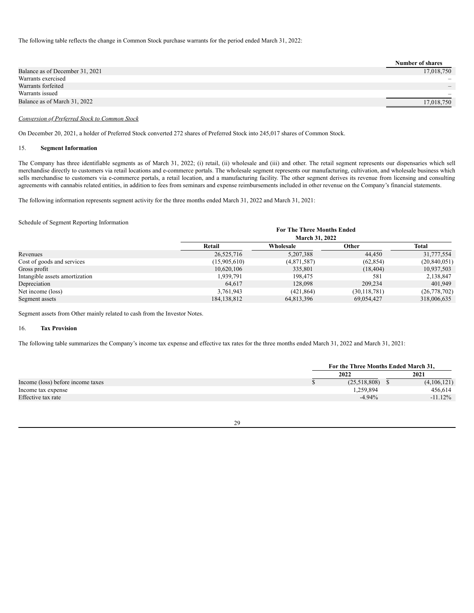The following table reflects the change in Common Stock purchase warrants for the period ended March 31, 2022:

| <b>Number of shares</b>  |
|--------------------------|
| 17,018,750               |
| $\overline{\phantom{0}}$ |
|                          |
| $\overline{\phantom{a}}$ |
| 17,018,750               |
|                          |

## *Conversion of Preferred Stock to Common Stock*

On December 20, 2021, a holder of Preferred Stock converted 272 shares of Preferred Stock into 245,017 shares of Common Stock.

### 15. **Segment Information**

The Company has three identifiable segments as of March 31, 2022; (i) retail, (ii) wholesale and (iii) and other. The retail segment represents our dispensaries which sell merchandise directly to customers via retail locations and e-commerce portals. The wholesale segment represents our manufacturing, cultivation, and wholesale business which sells merchandise to customers via e-commerce portals, a retail location, and a manufacturing facility. The other segment derives its revenue from licensing and consulting agreements with cannabis related entities, in addition to fees from seminars and expense reimbursements included in other revenue on the Company's financial statements.

The following information represents segment activity for the three months ended March 31, 2022 and March 31, 2021:

### Schedule of Segment Reporting Information

|                                |              | <b>For The Three Months Ended</b> |                |                |  |  |  |  |  |
|--------------------------------|--------------|-----------------------------------|----------------|----------------|--|--|--|--|--|
|                                |              | <b>March 31, 2022</b>             |                |                |  |  |  |  |  |
|                                | Retail       | Wholesale                         | Other          | Total          |  |  |  |  |  |
| Revenues                       | 26,525,716   | 5,207,388                         | 44,450         | 31,777,554     |  |  |  |  |  |
| Cost of goods and services     | (15,905,610) | (4,871,587)                       | (62, 854)      | (20, 840, 051) |  |  |  |  |  |
| Gross profit                   | 10,620,106   | 335,801                           | (18, 404)      | 10,937,503     |  |  |  |  |  |
| Intangible assets amortization | 1,939,791    | 198.475                           | 581            | 2,138,847      |  |  |  |  |  |
| Depreciation                   | 64.617       | 128,098                           | 209,234        | 401.949        |  |  |  |  |  |
| Net income (loss)              | 3,761,943    | (421, 864)                        | (30, 118, 781) | (26,778,702)   |  |  |  |  |  |
| Segment assets                 | 184.138.812  | 64.813.396                        | 69.054.427     | 318,006,635    |  |  |  |  |  |

Segment assets from Other mainly related to cash from the Investor Notes.

### 16. **Tax Provision**

The following table summarizes the Company's income tax expense and effective tax rates for the three months ended March 31, 2022 and March 31, 2021:

|                                   | For the Three Months Ended March 31. |             |
|-----------------------------------|--------------------------------------|-------------|
|                                   | 2022                                 | 2021        |
| Income (loss) before income taxes | (25,518,808)                         | (4,106,121) |
| Income tax expense                | 1,259,894                            | 456,614     |
| Effective tax rate                | $-4.94%$                             | $-11.12\%$  |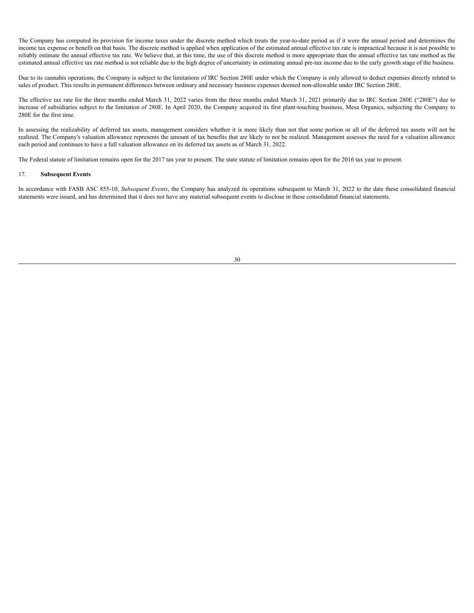The Company has computed its provision for income taxes under the discrete method which treats the year-to-date period as if it were the annual period and determines the income tax expense or benefit on that basis. The discrete method is applied when application of the estimated annual effective tax rate is impractical because it is not possible to reliably estimate the annual effective tax rate. We believe that, at this time, the use of this discrete method is more appropriate than the annual effective tax rate method as the estimated annual effective tax rate method is not reliable due to the high degree of uncertainty in estimating annual pre-tax income due to the early growth stage of the business.

Due to its cannabis operations, the Company is subject to the limitations of IRC Section 280E under which the Company is only allowed to deduct expenses directly related to sales of product. This results in permanent differences between ordinary and necessary business expenses deemed non-allowable under IRC Section 280E.

The effective tax rate for the three months ended March 31, 2022 varies from the three months ended March 31, 2021 primarily due to IRC Section 280E ("280E") due to increase of subsidiaries subject to the limitation of 280E. In April 2020, the Company acquired its first plant-touching business, Mesa Organics, subjecting the Company to 280E for the first time.

In assessing the realizability of deferred tax assets, management considers whether it is more likely than not that some portion or all of the deferred tax assets will not be realized. The Company's valuation allowance represents the amount of tax benefits that are likely to not be realized. Management assesses the need for a valuation allowance each period and continues to have a full valuation allowance on its deferred tax assets as of March 31, 2022.

The Federal statute of limitation remains open for the 2017 tax year to present. The state statute of limitation remains open for the 2016 tax year to present.

### 17. **Subsequent Events**

In accordance with FASB ASC 855-10, *Subsequent Events*, the Company has analyzed its operations subsequent to March 31, 2022 to the date these consolidated financial statements were issued, and has determined that it does not have any material subsequent events to disclose in these consolidated financial statements.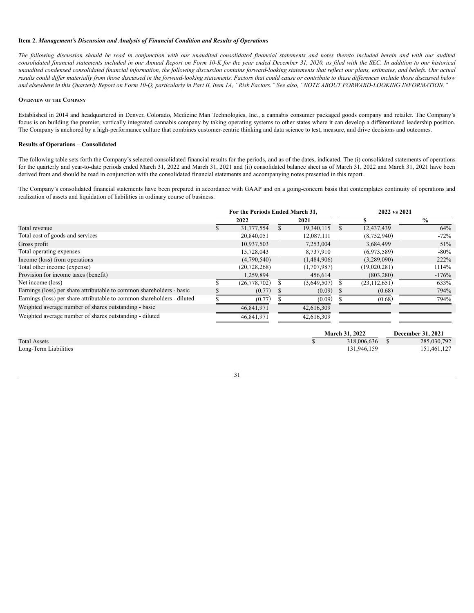#### <span id="page-30-0"></span>**Item 2.** *Management's Discussion and Analysis of Financial Condition and Results of Operations*

The following discussion should be read in conjunction with our unaudited consolidated financial statements and notes thereto included herein and with our audited consolidated financial statements included in our Annual Report on Form 10-K for the year ended December 31, 2020, as filed with the SEC. In addition to our historical unaudited condensed consolidated financial information, the following discussion contains forward-looking statements that reflect our plans, estimates, and beliefs. Our actual results could differ materially from those discussed in the forward-looking statements. Factors that could cause or contribute to these differences include those discussed below and elsewhere in this Quarterly Report on Form 10-Q, particularly in Part II, Item 1A, "Risk Factors." See also, "NOTE ABOUT FORWARD-LOOKING INFORMATION."

### **OVERVIEW OF THE COMPANY**

Established in 2014 and headquartered in Denver, Colorado, Medicine Man Technologies, Inc., a cannabis consumer packaged goods company and retailer. The Company's focus is on building the premier, vertically integrated cannabis company by taking operating systems to other states where it can develop a differentiated leadership position. The Company is anchored by a high-performance culture that combines customer-centric thinking and data science to test, measure, and drive decisions and outcomes.

### **Results of Operations – Consolidated**

The following table sets forth the Company's selected consolidated financial results for the periods, and as of the dates, indicated. The (i) consolidated statements of operations for the quarterly and year-to-date periods ended March 31, 2022 and March 31, 2021 and (ii) consolidated balance sheet as of March 31, 2022 and March 31, 2021 have been derived from and should be read in conjunction with the consolidated financial statements and accompanying notes presented in this report.

The Company's consolidated financial statements have been prepared in accordance with GAAP and on a going-concern basis that contemplates continuity of operations and realization of assets and liquidation of liabilities in ordinary course of business.

|                                                                         | For the Periods Ended March 31. |                |  |             |   | 2022 vs 2021   |                   |  |  |  |
|-------------------------------------------------------------------------|---------------------------------|----------------|--|-------------|---|----------------|-------------------|--|--|--|
|                                                                         |                                 | 2022           |  | 2021        |   |                | $\frac{6}{9}$     |  |  |  |
| Total revenue                                                           |                                 | 31,777,554     |  | 19,340,115  | S | 12,437,439     | 64%               |  |  |  |
| Total cost of goods and services                                        |                                 | 20,840,051     |  | 12,087,111  |   | (8,752,940)    | $-72%$            |  |  |  |
| Gross profit                                                            |                                 | 10,937,503     |  | 7,253,004   |   | 3,684,499      | 51%               |  |  |  |
| Total operating expenses                                                |                                 | 15,728,043     |  | 8,737,910   |   | (6,973,589)    | $-80\%$           |  |  |  |
| Income (loss) from operations                                           |                                 | (4,790,540)    |  | (1,484,906) |   | (3,289,090)    | 222%              |  |  |  |
| Total other income (expense)                                            |                                 | (20, 728, 268) |  | (1,707,987) |   | (19,020,281)   | 1114%             |  |  |  |
| Provision for income taxes (benefit)                                    |                                 | 1,259,894      |  | 456,614     |   | (803, 280)     | $-176%$           |  |  |  |
| Net income (loss)                                                       |                                 | (26, 778, 702) |  | (3,649,507) |   | (23, 112, 651) | 633%              |  |  |  |
| Earnings (loss) per share attributable to common shareholders - basic   |                                 | (0.77)         |  | (0.09)      |   | (0.68)         | 794%              |  |  |  |
| Earnings (loss) per share attributable to common shareholders - diluted |                                 | (0.77)         |  | (0.09)      |   | (0.68)         | 794%              |  |  |  |
| Weighted average number of shares outstanding - basic                   |                                 | 46,841,971     |  | 42,616,309  |   |                |                   |  |  |  |
| Weighted average number of shares outstanding - diluted                 |                                 | 46,841,971     |  | 42,616,309  |   |                |                   |  |  |  |
|                                                                         |                                 |                |  |             |   | March 31, 2022 | December 31, 2021 |  |  |  |
| <b>Total Assets</b>                                                     |                                 |                |  |             |   | 318,006,636    | 285,030,792       |  |  |  |

Long-Term Liabilities 131,946,159 151,461,127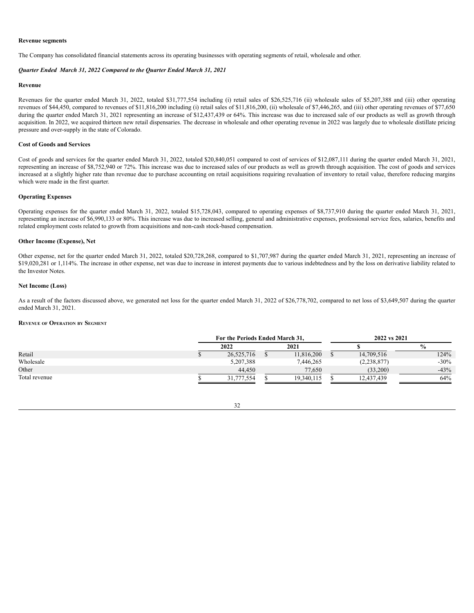#### **Revenue segments**

The Company has consolidated financial statements across its operating businesses with operating segments of retail, wholesale and other.

### *Quarter Ended March 31, 2022 Compared to the Quarter Ended March 31, 2021*

#### **Revenue**

Revenues for the quarter ended March 31, 2022, totaled \$31,777,554 including (i) retail sales of \$26,525,716 (ii) wholesale sales of \$5,207,388 and (iii) other operating revenues of \$44,450, compared to revenues of \$11,816,200 including (i) retail sales of \$11,816,200, (ii) wholesale of \$7,446,265, and (iii) other operating revenues of \$77,650 during the quarter ended March 31, 2021 representing an increase of \$12,437,439 or 64%. This increase was due to increased sale of our products as well as growth through acquisition. In 2022, we acquired thirteen new retail dispensaries. The decrease in wholesale and other operating revenue in 2022 was largely due to wholesale distillate pricing pressure and over-supply in the state of Colorado.

### **Cost of Goods and Services**

Cost of goods and services for the quarter ended March 31, 2022, totaled \$20,840,051 compared to cost of services of \$12,087,111 during the quarter ended March 31, 2021, representing an increase of \$8,752,940 or 72%. This increase was due to increased sales of our products as well as growth through acquisition. The cost of goods and services increased at a slightly higher rate than revenue due to purchase accounting on retail acquisitions requiring revaluation of inventory to retail value, therefore reducing margins which were made in the first quarter.

### **Operating Expenses**

Operating expenses for the quarter ended March 31, 2022, totaled \$15,728,043, compared to operating expenses of \$8,737,910 during the quarter ended March 31, 2021, representing an increase of \$6,990,133 or 80%. This increase was due to increased selling, general and administrative expenses, professional service fees, salaries, benefits and related employment costs related to growth from acquisitions and non-cash stock-based compensation.

### **Other Income (Expense), Net**

Other expense, net for the quarter ended March 31, 2022, totaled \$20,728,268, compared to \$1,707,987 during the quarter ended March 31, 2021, representing an increase of \$19,020,281 or 1,114%. The increase in other expense, net was due to increase in interest payments due to various indebtedness and by the loss on derivative liability related to the Investor Notes.

### **Net Income (Loss)**

As a result of the factors discussed above, we generated net loss for the quarter ended March 31, 2022 of \$26,778,702, compared to net loss of \$3,649,507 during the quarter ended March 31, 2021.

### **REVENUE OF OPERATION BY SEGMENT**

|               | For the Periods Ended March 31, |      |            |  | 2022 vs 2021  |               |  |  |  |  |
|---------------|---------------------------------|------|------------|--|---------------|---------------|--|--|--|--|
|               | 2022                            | 2021 |            |  |               | $\frac{6}{9}$ |  |  |  |  |
| Retail        | 26,525,716                      |      | 11,816,200 |  | 14,709,516    | 124%          |  |  |  |  |
| Wholesale     | 5,207,388                       |      | 7,446,265  |  | (2, 238, 877) | $-30%$        |  |  |  |  |
| Other         | 44.450                          |      | 77.650     |  | (33,200)      | $-43%$        |  |  |  |  |
| Total revenue | 31.777.554                      |      | 19.340.115 |  | 12.437.439    | 64%           |  |  |  |  |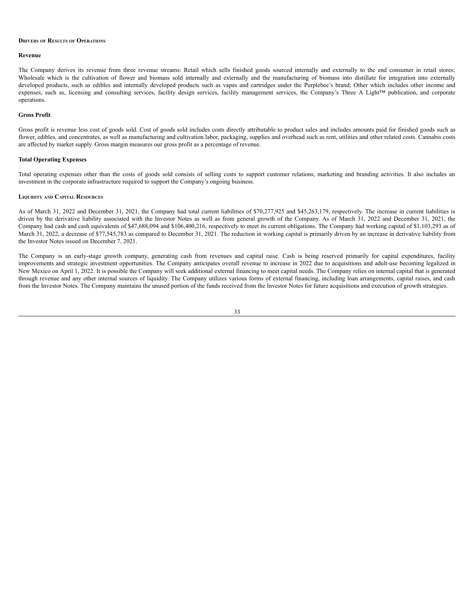#### **DRIVERS OF RESULTS OF OPERATIONS**

#### **Revenue**

The Company derives its revenue from three revenue streams: Retail which sells finished goods sourced internally and externally to the end consumer in retail stores; Wholesale which is the cultivation of flower and biomass sold internally and externally and the manufacturing of biomass into distillate for integration into externally developed products, such as edibles and internally developed products such as vapes and cartridges under the Purplebee's brand; Other which includes other income and expenses, such as, licensing and consulting services, facility design services, facility management services, the Company's Three A Light™ publication, and corporate operations.

### **Gross Profit**

Gross profit is revenue less cost of goods sold. Cost of goods sold includes costs directly attributable to product sales and includes amounts paid for finished goods such as flower, edibles, and concentrates, as well as manufacturing and cultivation labor, packaging, supplies and overhead such as rent, utilities and other related costs. Cannabis costs are affected by market supply. Gross margin measures our gross profit as a percentage of revenue.

### **Total Operating Expenses**

Total operating expenses other than the costs of goods sold consists of selling costs to support customer relations, marketing and branding activities. It also includes an investment in the corporate infrastructure required to support the Company's ongoing business.

### **LIQUIDITY AND CAPITAL RESOURCES**

As of March 31, 2022 and December 31, 2021, the Company had total current liabilities of \$70,277,925 and \$45,263,179, respectively. The increase in current liabilities is driven by the derivative liability associated with the Investor Notes as well as from general growth of the Company. As of March 31, 2022 and December 31, 2021, the Company had cash and cash equivalents of \$47,688,094 and \$106,400,216, respectively to meet its current obligations. The Company had working capital of \$1,103,293 as of March 31, 2022, a decrease of \$77,545,783 as compared to December 31, 2021. The reduction in working capital is primarily driven by an increase in derivative liability from the Investor Notes issued on December 7, 2021.

The Company is an early-stage growth company, generating cash from revenues and capital raise. Cash is being reserved primarily for capital expenditures, facility improvements and strategic investment opportunities. The Company anticipates overall revenue to increase in 2022 due to acquisitions and adult-use becoming legalized in New Mexico on April 1, 2022. It is possible the Company will seek additional external financing to meet capital needs. The Company relies on internal capital that is generated through revenue and any other internal sources of liquidity. The Company utilizes various forms of external financing, including loan arrangements, capital raises, and cash from the Investor Notes. The Company maintains the unused portion of the funds received from the Investor Notes for future acquisitions and execution of growth strategies.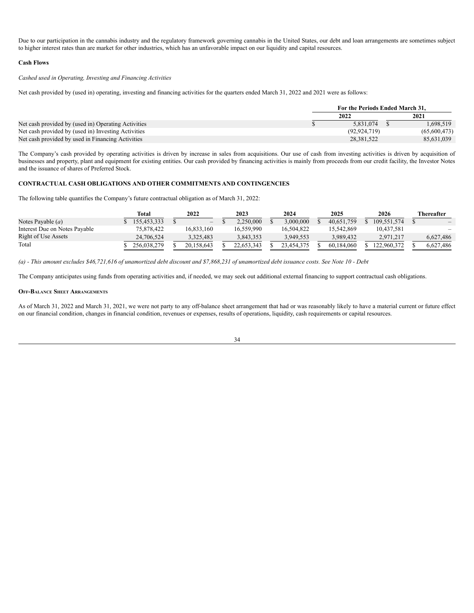Due to our participation in the cannabis industry and the regulatory framework governing cannabis in the United States, our debt and loan arrangements are sometimes subject to higher interest rates than are market for other industries, which has an unfavorable impact on our liquidity and capital resources.

### **Cash Flows**

*Cashed used in Operating, Investing and Financing Activities*

Net cash provided by (used in) operating, investing and financing activities for the quarters ended March 31, 2022 and 2021 were as follows:

|                                                     | For the Periods Ended March 31. |                |  |              |  |
|-----------------------------------------------------|---------------------------------|----------------|--|--------------|--|
|                                                     |                                 | 2022           |  | 2021         |  |
| Net cash provided by (used in) Operating Activities |                                 | 5,831,074      |  | 1,698,519    |  |
| Net cash provided by (used in) Investing Activities |                                 | (92, 924, 719) |  | (65,600,473) |  |
| Net cash provided by used in Financing Activities   |                                 | 28,381,522     |  | 85,631,039   |  |

The Company's cash provided by operating activities is driven by increase in sales from acquisitions. Our use of cash from investing activities is driven by acquisition of businesses and property, plant and equipment for existing entities. Our cash provided by financing activities is mainly from proceeds from our credit facility, the Investor Notes and the issuance of shares of Preferred Stock.

# **CONTRACTUAL CASH OBLIGATIONS AND OTHER COMMITMENTS AND CONTINGENCIES**

The following table quantifies the Company's future contractual obligation as of March 31, 2022:

|                               | Total       | 2022       | 2023       | 2024       | 2025       | 2026        | Thereafter                   |
|-------------------------------|-------------|------------|------------|------------|------------|-------------|------------------------------|
| Notes Payable $(a)$           | 155,453,333 | $-$        | 2,250,000  | 3.000.000  | 40.651.759 | 109.551.574 | $\overline{\phantom{0}}$     |
| Interest Due on Notes Pavable | 75.878.422  | 16.833.160 | 16.559.990 | 16.504.822 | 15.542.869 | 10.437.581  | $\qquad \qquad \blacksquare$ |
| Right of Use Assets           | 24,706,524  | 3.325.483  | 3,843,353  | 3,949,553  | 3.989.432  | 2,971,217   | 6.627.486                    |
| Total                         | 256.038.279 | 20.158.643 | 22.653.343 | 23.454.375 | 60.184.060 | 122.960.372 | 6.627.486                    |

(a) - This amount excludes \$46,721,616 of unamortized debt discount and \$7,868,231 of unamortized debt issuance costs. See Note 10 - Debt

The Company anticipates using funds from operating activities and, if needed, we may seek out additional external financing to support contractual cash obligations.

#### **OFF-BALANCE SHEET ARRANGEMENTS**

As of March 31, 2022 and March 31, 2021, we were not party to any off-balance sheet arrangement that had or was reasonably likely to have a material current or future effect on our financial condition, changes in financial condition, revenues or expenses, results of operations, liquidity, cash requirements or capital resources.

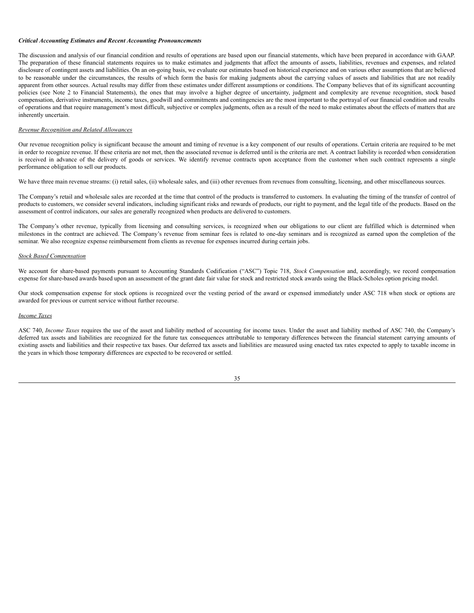#### *Critical Accounting Estimates and Recent Accounting Pronouncements*

The discussion and analysis of our financial condition and results of operations are based upon our financial statements, which have been prepared in accordance with GAAP. The preparation of these financial statements requires us to make estimates and judgments that affect the amounts of assets, liabilities, revenues and expenses, and related disclosure of contingent assets and liabilities. On an on-going basis, we evaluate our estimates based on historical experience and on various other assumptions that are believed to be reasonable under the circumstances, the results of which form the basis for making judgments about the carrying values of assets and liabilities that are not readily apparent from other sources. Actual results may differ from these estimates under different assumptions or conditions. The Company believes that of its significant accounting policies (see Note 2 to Financial Statements), the ones that may involve a higher degree of uncertainty, judgment and complexity are revenue recognition, stock based compensation, derivative instruments, income taxes, goodwill and commitments and contingencies are the most important to the portrayal of our financial condition and results of operations and that require management's most difficult, subjective or complex judgments, often as a result of the need to make estimates about the effects of matters that are inherently uncertain.

# *Revenue Recognition and Related Allowances*

Our revenue recognition policy is significant because the amount and timing of revenue is a key component of our results of operations. Certain criteria are required to be met in order to recognize revenue. If these criteria are not met, then the associated revenue is deferred until is the criteria are met. A contract liability is recorded when consideration is received in advance of the delivery of goods or services. We identify revenue contracts upon acceptance from the customer when such contract represents a single performance obligation to sell our products.

We have three main revenue streams: (i) retail sales, (ii) wholesale sales, and (iii) other revenues from revenues from consulting, licensing, and other miscellaneous sources.

The Company's retail and wholesale sales are recorded at the time that control of the products is transferred to customers. In evaluating the timing of the transfer of control of products to customers, we consider several indicators, including significant risks and rewards of products, our right to payment, and the legal title of the products. Based on the assessment of control indicators, our sales are generally recognized when products are delivered to customers.

The Company's other revenue, typically from licensing and consulting services, is recognized when our obligations to our client are fulfilled which is determined when milestones in the contract are achieved. The Company's revenue from seminar fees is related to one-day seminars and is recognized as earned upon the completion of the seminar. We also recognize expense reimbursement from clients as revenue for expenses incurred during certain jobs.

### *Stock Based Compensation*

We account for share-based payments pursuant to Accounting Standards Codification ("ASC") Topic 718, *Stock Compensation* and, accordingly, we record compensation expense for share-based awards based upon an assessment of the grant date fair value for stock and restricted stock awards using the Black-Scholes option pricing model.

Our stock compensation expense for stock options is recognized over the vesting period of the award or expensed immediately under ASC 718 when stock or options are awarded for previous or current service without further recourse.

#### *Income Taxes*

ASC 740, *Income Taxes* requires the use of the asset and liability method of accounting for income taxes. Under the asset and liability method of ASC 740, the Company's deferred tax assets and liabilities are recognized for the future tax consequences attributable to temporary differences between the financial statement carrying amounts of existing assets and liabilities and their respective tax bases. Our deferred tax assets and liabilities are measured using enacted tax rates expected to apply to taxable income in the years in which those temporary differences are expected to be recovered or settled.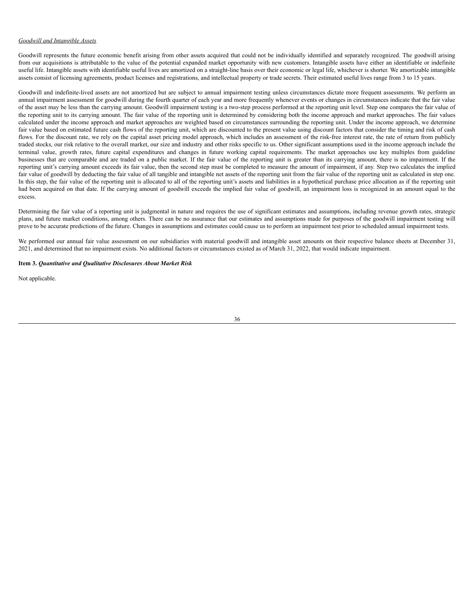### *Goodwill and Intangible Assets*

Goodwill represents the future economic benefit arising from other assets acquired that could not be individually identified and separately recognized. The goodwill arising from our acquisitions is attributable to the value of the potential expanded market opportunity with new customers. Intangible assets have either an identifiable or indefinite useful life. Intangible assets with identifiable useful lives are amortized on a straight-line basis over their economic or legal life, whichever is shorter. We amortizable intangible assets consist of licensing agreements, product licenses and registrations, and intellectual property or trade secrets. Their estimated useful lives range from 3 to 15 years.

Goodwill and indefinite-lived assets are not amortized but are subject to annual impairment testing unless circumstances dictate more frequent assessments. We perform an annual impairment assessment for goodwill during the fourth quarter of each year and more frequently whenever events or changes in circumstances indicate that the fair value of the asset may be less than the carrying amount. Goodwill impairment testing is a two-step process performed at the reporting unit level. Step one compares the fair value of the reporting unit to its carrying amount. The fair value of the reporting unit is determined by considering both the income approach and market approaches. The fair values calculated under the income approach and market approaches are weighted based on circumstances surrounding the reporting unit. Under the income approach, we determine fair value based on estimated future cash flows of the reporting unit, which are discounted to the present value using discount factors that consider the timing and risk of cash flows. For the discount rate, we rely on the capital asset pricing model approach, which includes an assessment of the risk-free interest rate, the rate of return from publicly traded stocks, our risk relative to the overall market, our size and industry and other risks specific to us. Other significant assumptions used in the income approach include the terminal value, growth rates, future capital expenditures and changes in future working capital requirements. The market approaches use key multiples from guideline businesses that are comparable and are traded on a public market. If the fair value of the reporting unit is greater than its carrying amount, there is no impairment. If the reporting unit's carrying amount exceeds its fair value, then the second step must be completed to measure the amount of impairment, if any. Step two calculates the implied fair value of goodwill by deducting the fair value of all tangible and intangible net assets of the reporting unit from the fair value of the reporting unit as calculated in step one. In this step, the fair value of the reporting unit is allocated to all of the reporting unit's assets and liabilities in a hypothetical purchase price allocation as if the reporting unit had been acquired on that date. If the carrying amount of goodwill exceeds the implied fair value of goodwill, an impairment loss is recognized in an amount equal to the excess.

Determining the fair value of a reporting unit is judgmental in nature and requires the use of significant estimates and assumptions, including revenue growth rates, strategic plans, and future market conditions, among others. There can be no assurance that our estimates and assumptions made for purposes of the goodwill impairment testing will prove to be accurate predictions of the future. Changes in assumptions and estimates could cause us to perform an impairment test prior to scheduled annual impairment tests.

We performed our annual fair value assessment on our subsidiaries with material goodwill and intangible asset amounts on their respective balance sheets at December 31, 2021, and determined that no impairment exists. No additional factors or circumstances existed as of March 31, 2022, that would indicate impairment.

### <span id="page-35-0"></span>**Item 3.** *Quantitative and Qualitative Disclosures About Market Risk*

Not applicable.

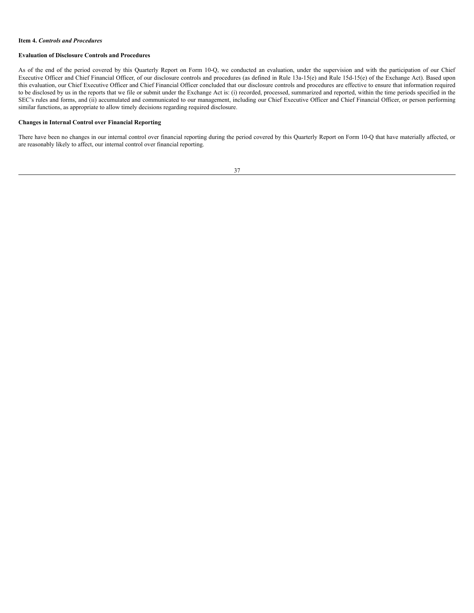### <span id="page-36-0"></span>**Item 4.** *Controls and Procedures*

## **Evaluation of Disclosure Controls and Procedures**

As of the end of the period covered by this Quarterly Report on Form 10-Q, we conducted an evaluation, under the supervision and with the participation of our Chief Executive Officer and Chief Financial Officer, of our disclosure controls and procedures (as defined in Rule 13a-15(e) and Rule 15d-15(e) of the Exchange Act). Based upon this evaluation, our Chief Executive Officer and Chief Financial Officer concluded that our disclosure controls and procedures are effective to ensure that information required to be disclosed by us in the reports that we file or submit under the Exchange Act is: (i) recorded, processed, summarized and reported, within the time periods specified in the SEC's rules and forms, and (ii) accumulated and communicated to our management, including our Chief Executive Officer and Chief Financial Officer, or person performing similar functions, as appropriate to allow timely decisions regarding required disclosure.

## **Changes in Internal Control over Financial Reporting**

There have been no changes in our internal control over financial reporting during the period covered by this Quarterly Report on Form 10-Q that have materially affected, or are reasonably likely to affect, our internal control over financial reporting.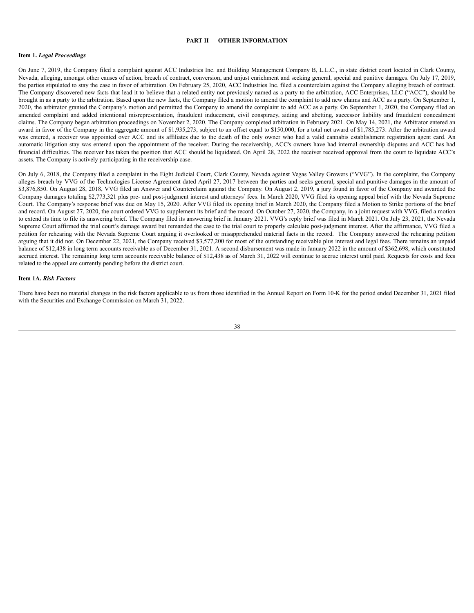#### **PART II — OTHER INFORMATION**

### <span id="page-37-1"></span><span id="page-37-0"></span>**Item 1.** *Legal Proceedings*

On June 7, 2019, the Company filed a complaint against ACC Industries Inc. and Building Management Company B, L.L.C., in state district court located in Clark County, Nevada, alleging, amongst other causes of action, breach of contract, conversion, and unjust enrichment and seeking general, special and punitive damages. On July 17, 2019, the parties stipulated to stay the case in favor of arbitration. On February 25, 2020, ACC Industries Inc. filed a counterclaim against the Company alleging breach of contract. The Company discovered new facts that lead it to believe that a related entity not previously named as a party to the arbitration, ACC Enterprises, LLC ("ACC"), should be brought in as a party to the arbitration. Based upon the new facts, the Company filed a motion to amend the complaint to add new claims and ACC as a party. On September 1, 2020, the arbitrator granted the Company's motion and permitted the Company to amend the complaint to add ACC as a party. On September 1, 2020, the Company filed an amended complaint and added intentional misrepresentation, fraudulent inducement, civil conspiracy, aiding and abetting, successor liability and fraudulent concealment claims. The Company began arbitration proceedings on November 2, 2020. The Company completed arbitration in February 2021. On May 14, 2021, the Arbitrator entered an award in favor of the Company in the aggregate amount of \$1,935,273, subject to an offset equal to \$150,000, for a total net award of \$1,785,273. After the arbitration award was entered, a receiver was appointed over ACC and its affiliates due to the death of the only owner who had a valid cannabis establishment registration agent card. An automatic litigation stay was entered upon the appointment of the receiver. During the receivership, ACC's owners have had internal ownership disputes and ACC has had financial difficulties. The receiver has taken the position that ACC should be liquidated. On April 28, 2022 the receiver received approval from the court to liquidate ACC's assets. The Company is actively participating in the receivership case.

On July 6, 2018, the Company filed a complaint in the Eight Judicial Court, Clark County, Nevada against Vegas Valley Growers ("VVG"). In the complaint, the Company alleges breach by VVG of the Technologies License Agreement dated April 27, 2017 between the parties and seeks general, special and punitive damages in the amount of \$3,876,850. On August 28, 2018, VVG filed an Answer and Counterclaim against the Company. On August 2, 2019, a jury found in favor of the Company and awarded the Company damages totaling \$2,773,321 plus pre- and post-judgment interest and attorneys' fees. In March 2020, VVG filed its opening appeal brief with the Nevada Supreme Court. The Company's response brief was due on May 15, 2020. After VVG filed its opening brief in March 2020, the Company filed a Motion to Strike portions of the brief and record. On August 27, 2020, the court ordered VVG to supplement its brief and the record. On October 27, 2020, the Company, in a joint request with VVG, filed a motion to extend its time to file its answering brief. The Company filed its answering brief in January 2021. VVG's reply brief was filed in March 2021. On July 23, 2021, the Nevada Supreme Court affirmed the trial court's damage award but remanded the case to the trial court to properly calculate post-judgment interest. After the affirmance, VVG filed a petition for rehearing with the Nevada Supreme Court arguing it overlooked or misapprehended material facts in the record. The Company answered the rehearing petition arguing that it did not. On December 22, 2021, the Company received \$3,577,200 for most of the outstanding receivable plus interest and legal fees. There remains an unpaid balance of \$12,438 in long term accounts receivable as of December 31, 2021. A second disbursement was made in January 2022 in the amount of \$362,698, which constituted accrued interest. The remaining long term accounts receivable balance of \$12,438 as of March 31, 2022 will continue to accrue interest until paid. Requests for costs and fees related to the appeal are currently pending before the district court.

#### <span id="page-37-2"></span>**Item 1A.** *Risk Factors*

There have been no material changes in the risk factors applicable to us from those identified in the Annual Report on Form 10-K for the period ended December 31, 2021 filed with the Securities and Exchange Commission on March 31, 2022.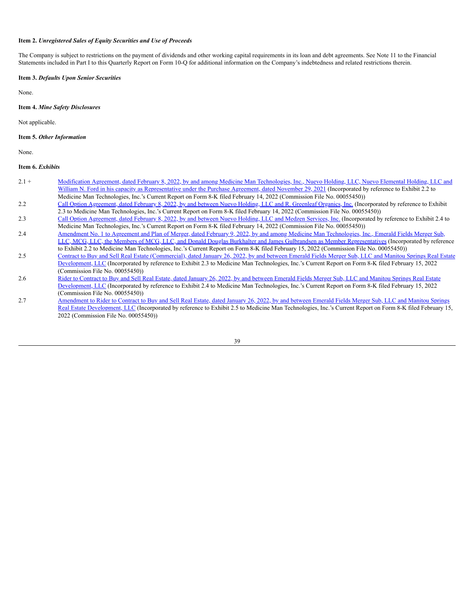#### <span id="page-38-0"></span>**Item 2.** *Unregistered Sales of Equity Securities and Use of Proceeds*

The Company is subject to restrictions on the payment of dividends and other working capital requirements in its loan and debt agreements. See Note 11 to the Financial Statements included in Part I to this Quarterly Report on Form 10-Q for additional information on the Company's indebtedness and related restrictions therein.

### <span id="page-38-1"></span>**Item 3.** *Defaults Upon Senior Securities*

None.

### <span id="page-38-2"></span>**Item 4.** *Mine Safety Disclosures*

Not applicable.

### <span id="page-38-3"></span>**Item 5.** *Other Information*

None.

#### <span id="page-38-4"></span>**Item 6.** *Exhibits*

- 2.1 + Modification Agreement, dated February 8, 2022, by and among Medicine Man Technologies, Inc., Nuevo Holding, LLC, Nuevo Elemental Holding, LLC and William N. Ford in his capacity as [Representative](https://www.sec.gov/Archives/edgar/data/1622879/000168316822000979/medman_ex0202.htm) under the Purchase Agreement, dated November 29, 2021 (Incorporated by reference to Exhibit 2.2 to Medicine Man Technologies, Inc.'s Current Report on Form 8-K filed February 14, 2022 (Commission File No. 00055450))
- 2.2 Call Option [Agreement,](https://www.sec.gov/Archives/edgar/data/1622879/000168316822000979/medman_ex0203.htm) dated February 8, 2022, by and between Nuevo Holding, LLC and R. Greenleaf Organics, Inc. (Incorporated by reference to Exhibit 2.3 to Medicine Man Technologies, Inc.'s Current Report on Form 8-K filed February 14, 2022 (Commission File No. 00055450))
- 2.3 Call Option [Agreement,](https://www.sec.gov/Archives/edgar/data/1622879/000168316822000979/medmen_ex0204.htm) dated February 8, 2022, by and between Nuevo Holding, LLC and Medzen Services, Inc. (Incorporated by reference to Exhibit 2.4 to Medicine Man Technologies, Inc.'s Current Report on Form 8-K filed February 14, 2022 (Commission File No. 00055450))
- 2.4 Amendment No. 1 to Agreement and Plan of Merger, dated February 9, 2022, by and among Medicine Man Technologies, Inc., Emerald Fields Merger Sub, LLC, MCG, LLC, the Members of MCG, LLC, and Donald Douglas Burkhalter and James Gulbrandsen as Member [Representatives](https://www.sec.gov/Archives/edgar/data/1622879/000168316822001040/medman_ex0202.htm) (Incorporated by reference to Exhibit 2.2 to Medicine Man Technologies, Inc.'s Current Report on Form 8-K filed February 15, 2022 (Commission File No. 00055450))
- 2.5 Contract to Buy and Sell Real Estate [\(Commercial\),](https://www.sec.gov/Archives/edgar/data/1622879/000168316822001040/medman_ex0203.htm) dated January 26, 2022, by and between Emerald Fields Merger Sub, LLC and Manitou Springs Real Estate Development, LLC (Incorporated by reference to Exhibit 2.3 to Medicine Man Technologies, Inc.'s Current Report on Form 8-K filed February 15, 2022 (Commission File No. 00055450))
- 2.6 Rider to Contract to Buy and Sell Real Estate, dated January 26, 2022, by and between Emerald Fields Merger Sub, LLC and Manitou Springs Real Estate [Development,](https://www.sec.gov/Archives/edgar/data/1622879/000168316822001040/medman_ex0204.htm) LLC (Incorporated by reference to Exhibit 2.4 to Medicine Man Technologies, Inc.'s Current Report on Form 8-K filed February 15, 2022 (Commission File No. 00055450))
- 2.7 Amendment to Rider to Contract to Buy and Sell Real Estate, dated January 26, 2022, by and between Emerald Fields Merger Sub, LLC and Manitou Springs Real Estate [Development,](https://www.sec.gov/Archives/edgar/data/1622879/000168316822001040/medman_ex0205.htm) LLC (Incorporated by reference to Exhibit 2.5 to Medicine Man Technologies, Inc.'s Current Report on Form 8-K filed February 15, 2022 (Commission File No. 00055450))

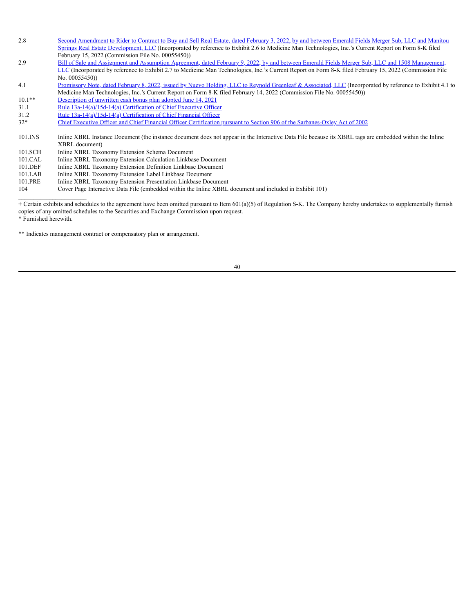- 2.8 Second Amendment to Rider to Contract to Buy and Sell Real Estate, dated February 3, 2022, by and between Emerald Fields Merger Sub, LLC and Manitou Springs Real Estate [Development,](https://www.sec.gov/Archives/edgar/data/1622879/000168316822001040/medman_ex0206.htm) LLC (Incorporated by reference to Exhibit 2.6 to Medicine Man Technologies, Inc.'s Current Report on Form 8-K filed February 15, 2022 (Commission File No. 00055450))
- 2.9 Bill of Sale and Assignment and Assumption Agreement, dated February 9, 2022, by and between Emerald Fields Merger Sub, LLC and 1508 Management, LLC (Incorporated by reference to Exhibit 2.7 to Medicine Man [Technologies,](https://www.sec.gov/Archives/edgar/data/1622879/000168316822001040/medman_ex0207.htm) Inc.'s Current Report on Form 8-K filed February 15, 2022 (Commission File No. 00055450))

4.1 Promissory Note, dated February 8, 2022, issued by Nuevo Holding, LLC to Reynold Greenleaf & [Associated,](https://www.sec.gov/Archives/edgar/data/1622879/000168316822000979/medman_ex0401.htm) LLC (Incorporated by reference to Exhibit 4.1 to Medicine Man Technologies, Inc.'s Current Report on Form 8-K filed February 14, 2022 (Commission File No. 00055450))

- 10.1\*\* [Description](https://s3.amazonaws.com/content.stockpr.com/sec/0001683168-22-003684/medman_ex1001.htm) of unwritten cash bonus plan adopted June 14, 2021
- 31.1 Rule [13a-14\(a\)/15d-14\(a\)](https://s3.amazonaws.com/content.stockpr.com/sec/0001683168-22-003684/medman_ex3101.htm) Certification of Chief Executive Officer
- 31.2 Rule [13a-14\(a\)/15d-14\(a\)](https://s3.amazonaws.com/content.stockpr.com/sec/0001683168-22-003684/medman_ex3102.htm) Certification of Chief Financial Officer

32\* Chief Executive Officer and Chief Financial Officer Certification pursuant to Section 906 of the [Sarbanes-Oxley](https://s3.amazonaws.com/content.stockpr.com/sec/0001683168-22-003684/medman_ex3200.htm) Act of 2002

- 101.INS Inline XBRL Instance Document (the instance document does not appear in the Interactive Data File because its XBRL tags are embedded within the Inline XBRL document)
- 101.SCH Inline XBRL Taxonomy Extension Schema Document
- 101.CAL Inline XBRL Taxonomy Extension Calculation Linkbase Document
- 101.DEF Inline XBRL Taxonomy Extension Definition Linkbase Document<br>101.LAB Inline XBRL Taxonomy Extension Label Linkbase Document
- Inline XBRL Taxonomy Extension Label Linkbase Document
- 101.PRE Inline XBRL Taxonomy Extension Presentation Linkbase Document
- 104 Cover Page Interactive Data File (embedded within the Inline XBRL document and included in Exhibit 101)

+ Certain exhibits and schedules to the agreement have been omitted pursuant to Item  $601(a)(5)$  of Regulation S-K. The Company hereby undertakes to supplementally furnish copies of any omitted schedules to the Securities and Exchange Commission upon request.

\* Furnished herewith.

\_\_\_\_\_\_\_\_\_\_\_\_\_\_\_\_\_\_\_\_\_\_

\*\* Indicates management contract or compensatory plan or arrangement.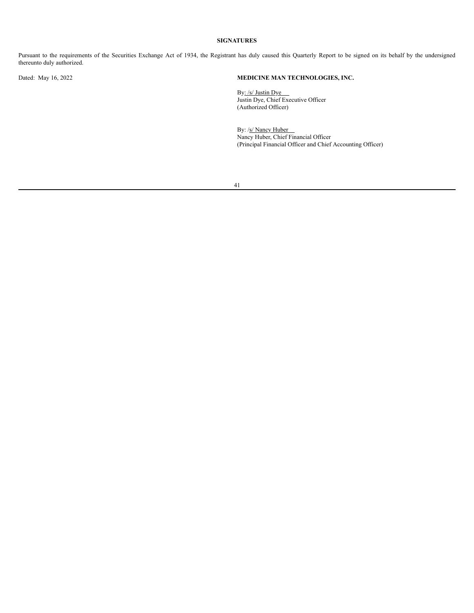# **SIGNATURES**

<span id="page-40-0"></span>Pursuant to the requirements of the Securities Exchange Act of 1934, the Registrant has duly caused this Quarterly Report to be signed on its behalf by the undersigned thereunto duly authorized.

# Dated: May 16, 2022 **MEDICINE MAN TECHNOLOGIES, INC.**

By: /s/ Justin Dye By: *ISI* Justin Dye<br>Justin Dye, Chief Executive Officer (Authorized Officer)

By: /s/ Nancy Huber Nancy Huber, Chief Financial Officer (Principal Financial Officer and Chief Accounting Officer)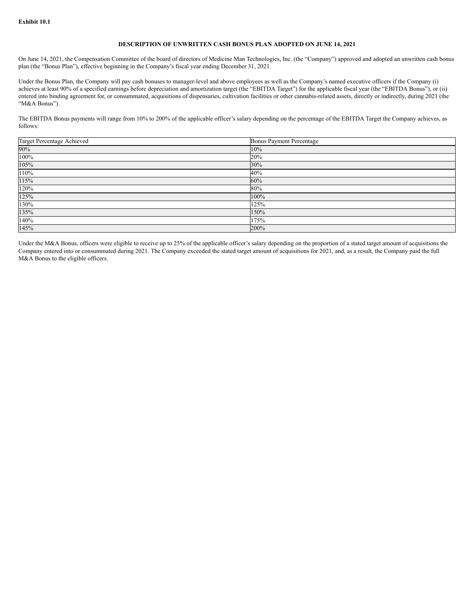### **DESCRIPTION OF UNWRITTEN CASH BONUS PLAN ADOPTED ON JUNE 14, 2021**

On June 14, 2021, the Compensation Committee of the board of directors of Medicine Man Technologies, Inc. (the "Company") approved and adopted an unwritten cash bonus plan (the "Bonus Plan"), effective beginning in the Company's fiscal year ending December 31, 2021.

Under the Bonus Plan, the Company will pay cash bonuses to manager-level and above employees as well as the Company's named executive officers if the Company (i) achieves at least 90% of a specified earnings before depreciation and amortization target (the "EBITDA Target") for the applicable fiscal year (the "EBITDA Bonus"), or (ii) entered into binding agreement for, or consummated, acquisitions of dispensaries, cultivation facilities or other cannabis-related assets, directly or indirectly, during 2021 (the "M&A Bonus").

The EBITDA Bonus payments will range from 10% to 200% of the applicable officer's salary depending on the percentage of the EBITDA Target the Company achieves, as follows:

| Target Percentage Achieved | <b>Bonus Payment Percentage</b> |
|----------------------------|---------------------------------|
| 90%                        | 10%                             |
| 100%                       | 20%                             |
| 105%                       | 30%                             |
| 110%                       | 40%                             |
| 115%                       | 60%                             |
| 120%                       | 80%                             |
| 125%                       | 100%                            |
| 130%                       | 125%                            |
| 135%                       | 150%                            |
| 140%                       | 175%                            |
| 145%                       | 200%                            |

Under the M&A Bonus, officers were eligible to receive up to 25% of the applicable officer's salary depending on the proportion of a stated target amount of acquisitions the Company entered into or consummated during 2021. The Company exceeded the stated target amount of acquisitions for 2021, and, as a result, the Company paid the full M&A Bonus to the eligible officers.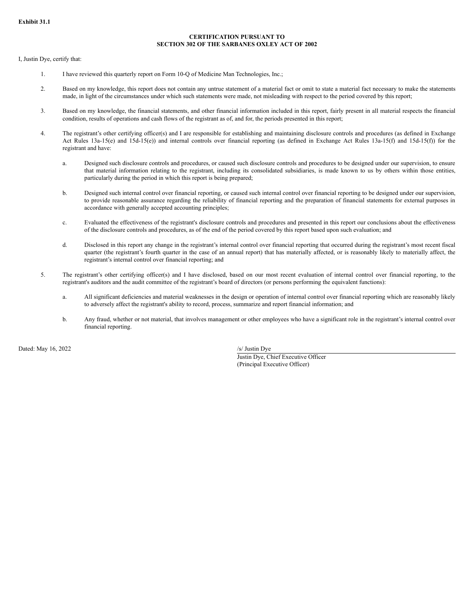# **CERTIFICATION PURSUANT TO SECTION 302 OF THE SARBANES OXLEY ACT OF 2002**

I, Justin Dye, certify that:

- 1. I have reviewed this quarterly report on Form 10-Q of Medicine Man Technologies, Inc.;
- 2. Based on my knowledge, this report does not contain any untrue statement of a material fact or omit to state a material fact necessary to make the statements made, in light of the circumstances under which such statements were made, not misleading with respect to the period covered by this report;
- 3. Based on my knowledge, the financial statements, and other financial information included in this report, fairly present in all material respects the financial condition, results of operations and cash flows of the registrant as of, and for, the periods presented in this report;
- 4. The registrant's other certifying officer(s) and I are responsible for establishing and maintaining disclosure controls and procedures (as defined in Exchange Act Rules 13a-15(e) and 15d-15(e)) and internal controls over financial reporting (as defined in Exchange Act Rules 13a-15(f) and 15d-15(f)) for the registrant and have:
	- a. Designed such disclosure controls and procedures, or caused such disclosure controls and procedures to be designed under our supervision, to ensure that material information relating to the registrant, including its consolidated subsidiaries, is made known to us by others within those entities, particularly during the period in which this report is being prepared;
	- b. Designed such internal control over financial reporting, or caused such internal control over financial reporting to be designed under our supervision, to provide reasonable assurance regarding the reliability of financial reporting and the preparation of financial statements for external purposes in accordance with generally accepted accounting principles;
	- c. Evaluated the effectiveness of the registrant's disclosure controls and procedures and presented in this report our conclusions about the effectiveness of the disclosure controls and procedures, as of the end of the period covered by this report based upon such evaluation; and
	- d. Disclosed in this report any change in the registrant's internal control over financial reporting that occurred during the registrant's most recent fiscal quarter (the registrant's fourth quarter in the case of an annual report) that has materially affected, or is reasonably likely to materially affect, the registrant's internal control over financial reporting; and
- 5. The registrant's other certifying officer(s) and I have disclosed, based on our most recent evaluation of internal control over financial reporting, to the registrant's auditors and the audit committee of the registrant's board of directors (or persons performing the equivalent functions):
	- a. All significant deficiencies and material weaknesses in the design or operation of internal control over financial reporting which are reasonably likely to adversely affect the registrant's ability to record, process, summarize and report financial information; and
	- b. Any fraud, whether or not material, that involves management or other employees who have a significant role in the registrant's internal control over financial reporting.

Dated: May 16, 2022 /s/ Justin Dye

Justin Dye, Chief Executive Officer (Principal Executive Officer)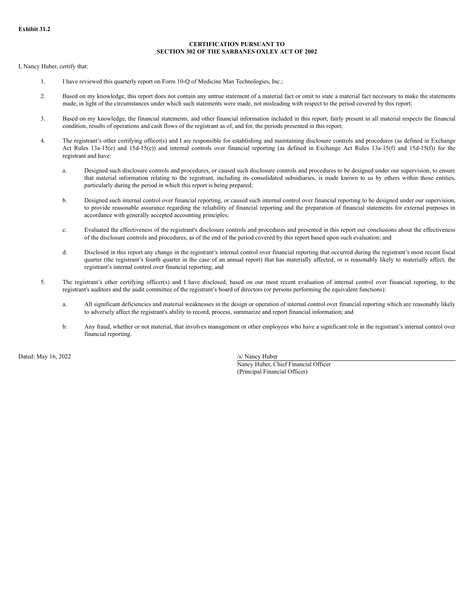### **CERTIFICATION PURSUANT TO SECTION 302 OF THE SARBANES OXLEY ACT OF 2002**

I, Nancy Huber, certify that:

- 1. I have reviewed this quarterly report on Form 10-Q of Medicine Man Technologies, Inc.;
- 2. Based on my knowledge, this report does not contain any untrue statement of a material fact or omit to state a material fact necessary to make the statements made, in light of the circumstances under which such statements were made, not misleading with respect to the period covered by this report;
- 3. Based on my knowledge, the financial statements, and other financial information included in this report, fairly present in all material respects the financial condition, results of operations and cash flows of the registrant as of, and for, the periods presented in this report;
- 4. The registrant's other certifying officer(s) and I are responsible for establishing and maintaining disclosure controls and procedures (as defined in Exchange Act Rules 13a-15(e) and 15d-15(e)) and internal controls over financial reporting (as defined in Exchange Act Rules 13a-15(f) and 15d-15(f)) for the registrant and have:
	- a. Designed such disclosure controls and procedures, or caused such disclosure controls and procedures to be designed under our supervision, to ensure that material information relating to the registrant, including its consolidated subsidiaries, is made known to us by others within those entities, particularly during the period in which this report is being prepared;
	- b. Designed such internal control over financial reporting, or caused such internal control over financial reporting to be designed under our supervision, to provide reasonable assurance regarding the reliability of financial reporting and the preparation of financial statements for external purposes in accordance with generally accepted accounting principles;
	- c. Evaluated the effectiveness of the registrant's disclosure controls and procedures and presented in this report our conclusions about the effectiveness of the disclosure controls and procedures, as of the end of the period covered by this report based upon such evaluation; and
	- d. Disclosed in this report any change in the registrant's internal control over financial reporting that occurred during the registrant's most recent fiscal quarter (the registrant's fourth quarter in the case of an annual report) that has materially affected, or is reasonably likely to materially affect, the registrant's internal control over financial reporting; and
- 5. The registrant's other certifying officer(s) and I have disclosed, based on our most recent evaluation of internal control over financial reporting, to the registrant's auditors and the audit committee of the registrant's board of directors (or persons performing the equivalent functions):
	- a. All significant deficiencies and material weaknesses in the design or operation of internal control over financial reporting which are reasonably likely to adversely affect the registrant's ability to record, process, summarize and report financial information; and
	- b. Any fraud, whether or not material, that involves management or other employees who have a significant role in the registrant's internal control over financial reporting.

Dated: May 16, 2022 /s/ Nancy Huber

Nancy Huber, Chief Financial Officer (Principal Financial Officer)